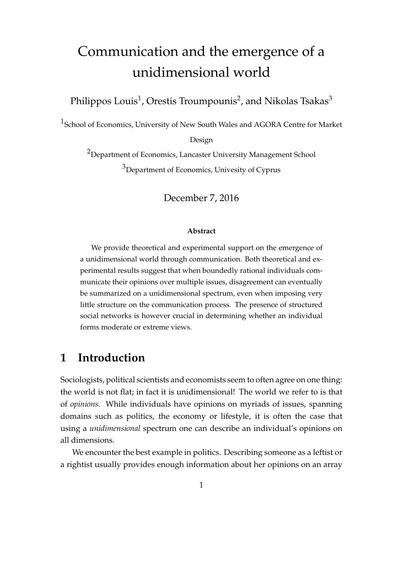# Communication and the emergence of a unidimensional world

Philippos Louis $^1$ , Orestis Troumpounis $^2$ , and Nikolas Tsakas $^3$ 

<sup>1</sup>School of Economics, University of New South Wales and AGORA Centre for Market

Design

<sup>2</sup>Department of Economics, Lancaster University Management School <sup>3</sup>Department of Economics, Univesity of Cyprus

December 7, 2016

#### **Abstract**

We provide theoretical and experimental support on the emergence of a unidimensional world through communication. Both theoretical and experimental results suggest that when boundedly rational individuals communicate their opinions over multiple issues, disagreement can eventually be summarized on a unidimensional spectrum, even when imposing very little structure on the communication process. The presence of structured social networks is however crucial in determining whether an individual forms moderate or extreme views.

# **1 Introduction**

Sociologists, political scientists and economists seem to often agree on one thing: the world is not flat; in fact it is unidimensional! The world we refer to is that of *opinions*. While individuals have opinions on myriads of issues, spanning domains such as politics, the economy or lifestyle, it is often the case that using a *unidimensional* spectrum one can describe an individual's opinions on all dimensions.

We encounter the best example in politics. Describing someone as a leftist or a rightist usually provides enough information about her opinions on an array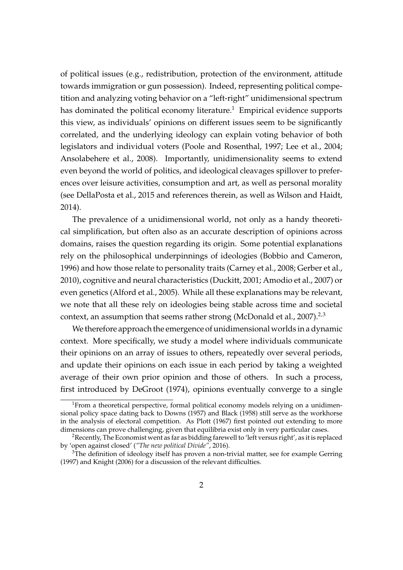of political issues (e.g., redistribution, protection of the environment, attitude towards immigration or gun possession). Indeed, representing political competition and analyzing voting behavior on a "left-right" unidimensional spectrum has dominated the political economy literature.<sup>1</sup> Empirical evidence supports this view, as individuals' opinions on different issues seem to be significantly correlated, and the underlying ideology can explain voting behavior of both legislators and individual voters [\(Poole and Rosenthal,](#page-35-0) [1997;](#page-35-0) [Lee et al.,](#page-35-1) [2004;](#page-35-1) [Ansolabehere et al.,](#page-33-0) [2008\)](#page-33-0). Importantly, unidimensionality seems to extend even beyond the world of politics, and ideological cleavages spillover to preferences over leisure activities, consumption and art, as well as personal morality (see [DellaPosta et al.,](#page-34-0) [2015](#page-34-0) and references therein, as well as [Wilson and Haidt,](#page-35-2) [2014\)](#page-35-2).

The prevalence of a unidimensional world, not only as a handy theoretical simplification, but often also as an accurate description of opinions across domains, raises the question regarding its origin. Some potential explanations rely on the philosophical underpinnings of ideologies [\(Bobbio and Cameron,](#page-34-1) [1996\)](#page-34-1) and how those relate to personality traits [\(Carney et al.,](#page-34-2) [2008;](#page-34-2) [Gerber et al.,](#page-34-3) [2010\)](#page-34-3), cognitive and neural characteristics [\(Duckitt,](#page-34-4) [2001;](#page-34-4) [Amodio et al.,](#page-33-1) [2007\)](#page-33-1) or even genetics [\(Alford et al.,](#page-33-2) [2005\)](#page-33-2). While all these explanations may be relevant, we note that all these rely on ideologies being stable across time and societal context, an assumption that seems rather strong [\(McDonald et al.,](#page-35-3) [2007\)](#page-35-3).<sup>2,3</sup>

We therefore approach the emergence of unidimensional worlds in a dynamic context. More specifically, we study a model where individuals communicate their opinions on an array of issues to others, repeatedly over several periods, and update their opinions on each issue in each period by taking a weighted average of their own prior opinion and those of others. In such a process, first introduced by [DeGroot](#page-34-5) [\(1974\)](#page-34-5), opinions eventually converge to a single

<sup>&</sup>lt;sup>1</sup>From a theoretical perspective, formal political economy models relying on a unidimensional policy space dating back to [Downs](#page-34-6) [\(1957\)](#page-34-6) and [Black](#page-33-3) [\(1958\)](#page-33-3) still serve as the workhorse in the analysis of electoral competition. As [Plott](#page-35-4) [\(1967\)](#page-35-4) first pointed out extending to more dimensions can prove challenging, given that equilibria exist only in very particular cases.

<sup>&</sup>lt;sup>2</sup>Recently, The Economist went as far as bidding farewell to 'left versus right', as it is replaced by 'open against closed' (*"The new political Divide"*, 2016).

 $3$ The definition of ideology itself has proven a non-trivial matter, see for example [Gerring](#page-34-7) [\(1997\)](#page-34-7) and [Knight](#page-34-8) [\(2006\)](#page-34-8) for a discussion of the relevant difficulties.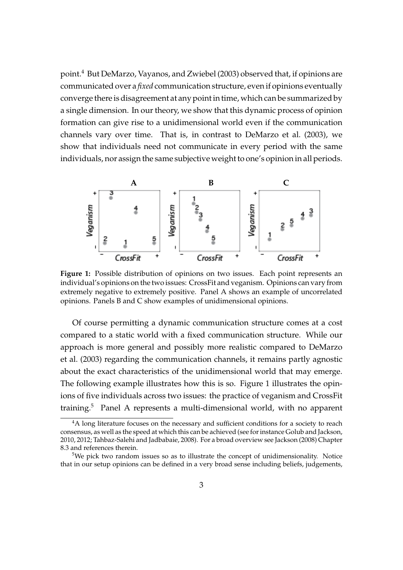point.<sup>4</sup> But [DeMarzo, Vayanos, and Zwiebel](#page-34-9) [\(2003\)](#page-34-9) observed that, if opinions are communicated over a *fixed* communication structure, even if opinions eventually converge there is disagreement at any point in time, which can be summarized by a single dimension. In our theory, we show that this dynamic process of opinion formation can give rise to a unidimensional world even if the communication channels vary over time. That is, in contrast to [DeMarzo et al.](#page-34-9) [\(2003\)](#page-34-9), we show that individuals need not communicate in every period with the same individuals, nor assign the same subjective weight to one's opinion in all periods.

<span id="page-2-0"></span>

**Figure 1:** Possible distribution of opinions on two issues. Each point represents an individual's opinions on the two issues: CrossFit and veganism. Opinions can vary from extremely negative to extremely positive. Panel A shows an example of uncorrelated opinions. Panels B and C show examples of unidimensional opinions.

Of course permitting a dynamic communication structure comes at a cost compared to a static world with a fixed communication structure. While our approach is more general and possibly more realistic compared to [DeMarzo](#page-34-9) [et al.](#page-34-9) [\(2003\)](#page-34-9) regarding the communication channels, it remains partly agnostic about the exact characteristics of the unidimensional world that may emerge. The following example illustrates how this is so. Figure [1](#page-2-0) illustrates the opinions of five individuals across two issues: the practice of veganism and CrossFit training.<sup>5</sup> Panel A represents a multi-dimensional world, with no apparent

<sup>&</sup>lt;sup>4</sup>A long literature focuses on the necessary and sufficient conditions for a society to reach consensus, as well as the speed at which this can be achieved (see for instance [Golub and Jackson,](#page-34-10) [2010,](#page-34-10) [2012;](#page-34-11) [Tahbaz-Salehi and Jadbabaie,](#page-35-5) [2008\)](#page-35-5). For a broad overview see [Jackson](#page-34-12) [\(2008\)](#page-34-12) Chapter 8.3 and references therein.

<sup>&</sup>lt;sup>5</sup>We pick two random issues so as to illustrate the concept of unidimensionality. Notice that in our setup opinions can be defined in a very broad sense including beliefs, judgements,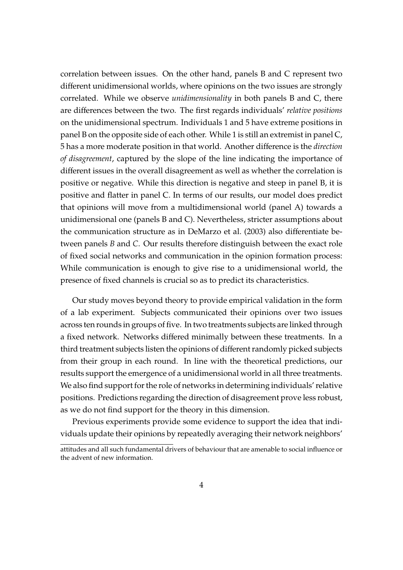correlation between issues. On the other hand, panels B and C represent two different unidimensional worlds, where opinions on the two issues are strongly correlated. While we observe *unidimensionality* in both panels B and C, there are differences between the two. The first regards individuals' *relative positions* on the unidimensional spectrum. Individuals 1 and 5 have extreme positions in panel B on the opposite side of each other. While 1 is still an extremist in panel C, 5 has a more moderate position in that world. Another difference is the *direction of disagreement*, captured by the slope of the line indicating the importance of different issues in the overall disagreement as well as whether the correlation is positive or negative. While this direction is negative and steep in panel B, it is positive and flatter in panel C. In terms of our results, our model does predict that opinions will move from a multidimensional world (panel A) towards a unidimensional one (panels B and C). Nevertheless, stricter assumptions about the communication structure as in [DeMarzo et al.](#page-34-9) [\(2003\)](#page-34-9) also differentiate between panels *B* and *C*. Our results therefore distinguish between the exact role of fixed social networks and communication in the opinion formation process: While communication is enough to give rise to a unidimensional world, the presence of fixed channels is crucial so as to predict its characteristics.

Our study moves beyond theory to provide empirical validation in the form of a lab experiment. Subjects communicated their opinions over two issues across ten rounds in groups of five. In two treatments subjects are linked through a fixed network. Networks differed minimally between these treatments. In a third treatment subjects listen the opinions of different randomly picked subjects from their group in each round. In line with the theoretical predictions, our results support the emergence of a unidimensional world in all three treatments. We also find support for the role of networks in determining individuals' relative positions. Predictions regarding the direction of disagreement prove less robust, as we do not find support for the theory in this dimension.

Previous experiments provide some evidence to support the idea that individuals update their opinions by repeatedly averaging their network neighbors'

attitudes and all such fundamental drivers of behaviour that are amenable to social influence or the advent of new information.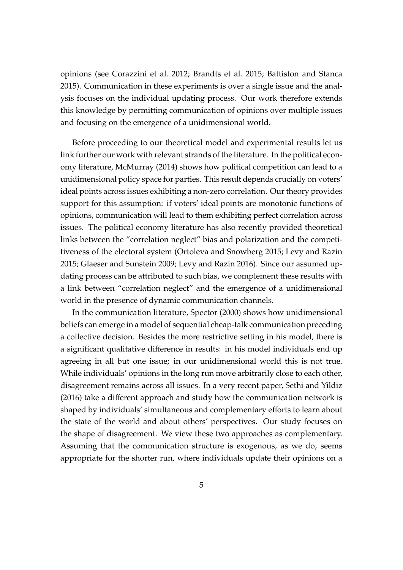opinions (see [Corazzini et al.](#page-34-13) [2012;](#page-34-13) [Brandts et al.](#page-34-14) [2015;](#page-34-14) [Battiston and Stanca](#page-33-4) [2015\)](#page-33-4). Communication in these experiments is over a single issue and the analysis focuses on the individual updating process. Our work therefore extends this knowledge by permitting communication of opinions over multiple issues and focusing on the emergence of a unidimensional world.

Before proceeding to our theoretical model and experimental results let us link further our work with relevant strands of the literature. In the political economy literature, [McMurray](#page-35-6) [\(2014\)](#page-35-6) shows how political competition can lead to a unidimensional policy space for parties. This result depends crucially on voters' ideal points across issues exhibiting a non-zero correlation. Our theory provides support for this assumption: if voters' ideal points are monotonic functions of opinions, communication will lead to them exhibiting perfect correlation across issues. The political economy literature has also recently provided theoretical links between the "correlation neglect" bias and polarization and the competitiveness of the electoral system [\(Ortoleva and Snowberg](#page-35-7) [2015;](#page-35-7) [Levy and Razin](#page-35-8) [2015;](#page-35-8) [Glaeser and Sunstein](#page-34-15) [2009;](#page-34-15) [Levy and Razin](#page-35-9) [2016\)](#page-35-9). Since our assumed updating process can be attributed to such bias, we complement these results with a link between "correlation neglect" and the emergence of a unidimensional world in the presence of dynamic communication channels.

In the communication literature, [Spector](#page-35-10) [\(2000\)](#page-35-10) shows how unidimensional beliefs can emerge in a model of sequential cheap-talk communication preceding a collective decision. Besides the more restrictive setting in his model, there is a significant qualitative difference in results: in his model individuals end up agreeing in all but one issue; in our unidimensional world this is not true. While individuals' opinions in the long run move arbitrarily close to each other, disagreement remains across all issues. In a very recent paper, [Sethi and Yildiz](#page-35-11) [\(2016\)](#page-35-11) take a different approach and study how the communication network is shaped by individuals' simultaneous and complementary efforts to learn about the state of the world and about others' perspectives. Our study focuses on the shape of disagreement. We view these two approaches as complementary. Assuming that the communication structure is exogenous, as we do, seems appropriate for the shorter run, where individuals update their opinions on a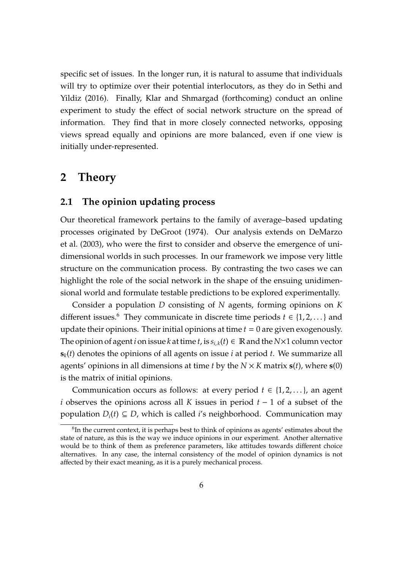specific set of issues. In the longer run, it is natural to assume that individuals will try to optimize over their potential interlocutors, as they do in [Sethi and](#page-35-11) [Yildiz](#page-35-11) [\(2016\)](#page-35-11). Finally, [Klar and Shmargad](#page-34-16) [\(forthcoming\)](#page-34-16) conduct an online experiment to study the effect of social network structure on the spread of information. They find that in more closely connected networks, opposing views spread equally and opinions are more balanced, even if one view is initially under-represented.

# **2 Theory**

### **2.1 The opinion updating process**

Our theoretical framework pertains to the family of average–based updating processes originated by [DeGroot](#page-34-5) [\(1974\)](#page-34-5). Our analysis extends on [DeMarzo](#page-34-9) [et al.](#page-34-9) [\(2003\)](#page-34-9), who were the first to consider and observe the emergence of unidimensional worlds in such processes. In our framework we impose very little structure on the communication process. By contrasting the two cases we can highlight the role of the social network in the shape of the ensuing unidimensional world and formulate testable predictions to be explored experimentally.

Consider a population *D* consisting of *N* agents, forming opinions on *K* different issues.<sup>6</sup> They communicate in discrete time periods  $t \in \{1, 2, ...\}$  and update their opinions. Their initial opinions at time *t* = 0 are given exogenously. The opinion of agent *i* on issue *k* at time *t*, is  $s_{i,k}(t) \in \mathbb{R}$  and the  $N \times 1$  column vector **s***k*(*t*) denotes the opinions of all agents on issue *i* at period *t*. We summarize all agents' opinions in all dimensions at time *t* by the *N* × *K* matrix **s**(*t*), where **s**(0) is the matrix of initial opinions.

Communication occurs as follows: at every period  $t \in \{1, 2, \ldots\}$ , an agent *i* observes the opinions across all *K* issues in period *t* − 1 of a subset of the population  $D_i(t) \subseteq D$ , which is called *i*'s neighborhood. Communication may

 ${}^{6}$ In the current context, it is perhaps best to think of opinions as agents' estimates about the state of nature, as this is the way we induce opinions in our experiment. Another alternative would be to think of them as preference parameters, like attitudes towards different choice alternatives. In any case, the internal consistency of the model of opinion dynamics is not affected by their exact meaning, as it is a purely mechanical process.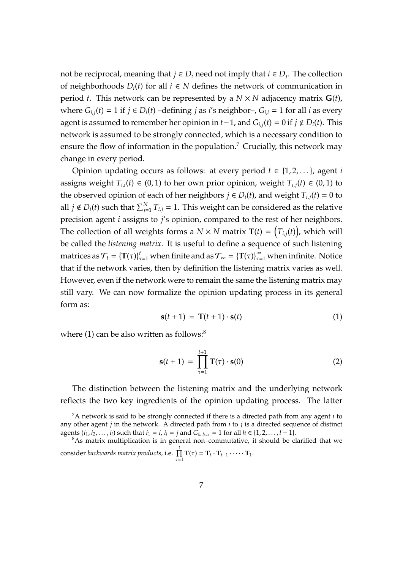not be reciprocal, meaning that  $j \in D_i$  need not imply that  $i \in D_j$ . The collection of neighborhoods  $D_i(t)$  for all *i* ∈ *N* defines the network of communication in period *t*. This network can be represented by a  $N \times N$  adjacency matrix  $G(t)$ , where  $G_{i,j}(t) = 1$  if  $j \in D_i(t)$  –defining  $j$  as  $i$ 's neighbor–,  $G_{i,i} = 1$  for all  $i$  as every agent is assumed to remember her opinion in  $t-1$ , and  $G$ <sub>*i*,*j*</sub>(*t*) = 0 if *j* ∉ *D<sub><i>i*</sub>(*t*). This network is assumed to be strongly connected, which is a necessary condition to ensure the flow of information in the population.<sup>7</sup> Crucially, this network may change in every period.

Opinion updating occurs as follows: at every period  $t \in \{1, 2, \ldots\}$ , agent *i* assigns weight  $T_{i,i}(t) \in (0,1)$  to her own prior opinion, weight  $T_{i,i}(t) \in (0,1)$  to the observed opinion of each of her neighbors  $j \in D_i(t)$ , and weight  $T_{i,j}(t) = 0$  to all  $j \notin D_i(t)$  such that  $\sum_{j=1}^{N} T_{i,j} = 1$ . This weight can be considered as the relative precision agent *i* assigns to *j*'s opinion, compared to the rest of her neighbors. The collection of all weights forms a  $N \times N$  matrix  $\mathbf{T}(t) = \left(T_{i,j}(t)\right)$ , which will be called the *listening matrix*. It is useful to define a sequence of such listening matrices as  $\mathcal{T}_t = \{ \mathbf{T}(\tau) \}_{\tau=1}^t$  when finite and as  $\mathcal{T}_\infty = \{ \mathbf{T}(\tau) \}_{\tau=1}^\infty$  when infinite. Notice that if the network varies, then by definition the listening matrix varies as well. However, even if the network were to remain the same the listening matrix may still vary. We can now formalize the opinion updating process in its general form as:

<span id="page-6-0"></span>
$$
\mathbf{s}(t+1) = \mathbf{T}(t+1) \cdot \mathbf{s}(t) \tag{1}
$$

where  $(1)$  can be also written as follows:<sup>8</sup>

<span id="page-6-1"></span>
$$
\mathbf{s}(t+1) = \prod_{\tau=1}^{t+1} \mathbf{T}(\tau) \cdot \mathbf{s}(0) \tag{2}
$$

The distinction between the listening matrix and the underlying network reflects the two key ingredients of the opinion updating process. The latter

<sup>7</sup>A network is said to be strongly connected if there is a directed path from any agent *i* to any other agent *j* in the network. A directed path from *i* to *j* is a directed sequence of distinct agents  $(i_1, i_2, \ldots, i_l)$  such that  $i_1 = i$ ,  $i_l = j$  and  $G_{i_h, i_{h+1}} = 1$  for all  $h ∈ {1, 2, \ldots, l - 1}.$ 

 $8$ As matrix multiplication is in general non–commutative, it should be clarified that we consider *backwards matrix products*, i.e. Q *t*  $\prod_{\tau=1}^{r} \mathbf{T}(\tau) = \mathbf{T}_t \cdot \mathbf{T}_{t-1} \cdot \cdots \cdot \mathbf{T}_1.$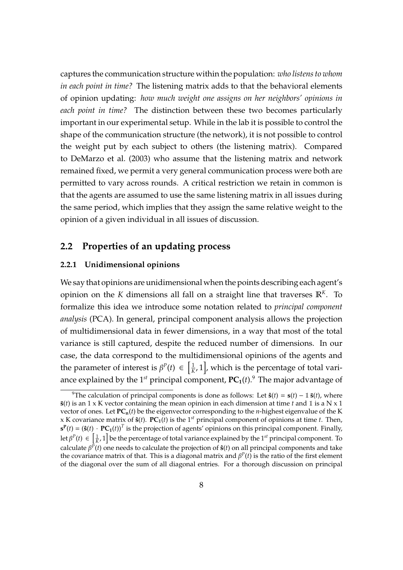captures the communication structure within the population: *who listens to whom in each point in time?* The listening matrix adds to that the behavioral elements of opinion updating: *how much weight one assigns on her neighbors' opinions in each point in time?* The distinction between these two becomes particularly important in our experimental setup. While in the lab it is possible to control the shape of the communication structure (the network), it is not possible to control the weight put by each subject to others (the listening matrix). Compared to [DeMarzo et al.](#page-34-9) [\(2003\)](#page-34-9) who assume that the listening matrix and network remained fixed, we permit a very general communication process were both are permitted to vary across rounds. A critical restriction we retain in common is that the agents are assumed to use the same listening matrix in all issues during the same period, which implies that they assign the same relative weight to the opinion of a given individual in all issues of discussion.

# **2.2 Properties of an updating process**

#### **2.2.1 Unidimensional opinions**

We say that opinions are unidimensional when the points describing each agent's opinion on the *K* dimensions all fall on a straight line that traverses  $\mathbb{R}^K$ . To formalize this idea we introduce some notation related to *principal component analysis* (PCA). In general, principal component analysis allows the projection of multidimensional data in fewer dimensions, in a way that most of the total variance is still captured, despite the reduced number of dimensions. In our case, the data correspond to the multidimensional opinions of the agents and the parameter of interest is  $\beta^{P}(t) \in \left[\frac{1}{k}\right]$  $\frac{1}{K}$ , 1], which is the percentage of total variance explained by the 1<sup>st</sup> principal component,  $PC_1(t)$ .<sup>9</sup> The major advantage of

<sup>&</sup>lt;sup>9</sup>The calculation of principal components is done as follows: Let  $\hat{\mathbf{s}}(t) = \mathbf{s}(t) - \mathbb{1}\bar{\mathbf{s}}(t)$ , where **¯s**(*t*) is an 1 x K vector containing the mean opinion in each dimension at time *t* and 1 is a N x 1 vector of ones. Let  $PC_n(t)$  be the eigenvector corresponding to the *n*-highest eigenvalue of the K x K covariance matrix of  $\hat{\mathbf{s}}(t)$ .  $\mathbf{PC}_1(t)$  is the 1<sup>st</sup> principal component of opinions at time *t*. Then,  $\mathbf{s}^{\mathbf{P}}(t) = (\hat{\mathbf{s}}(t) \cdot \mathbf{P} \mathbf{C_1}(t))^T$  is the projection of agents' opinions on this principal component. Finally, let  $\beta^P(t) \in \left[\frac{1}{K},1\right]$  be the percentage of total variance explained by the 1<sup>st</sup> principal component. To calculate β *P* (*t*) one needs to calculate the projection of **ˆs**(*t*) on all principal components and take the covariance matrix of that. This is a diagonal matrix and  $\beta^P(t)$  is the ratio of the first element of the diagonal over the sum of all diagonal entries. For a thorough discussion on principal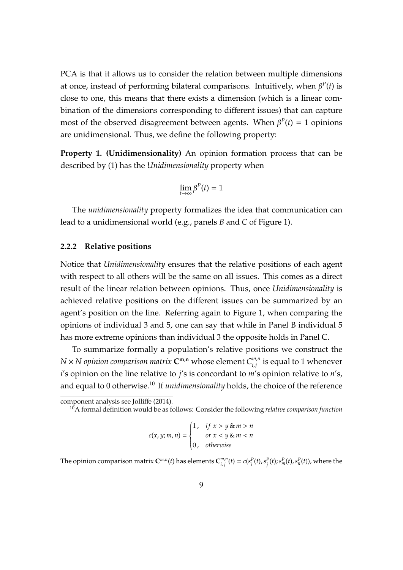PCA is that it allows us to consider the relation between multiple dimensions at once, instead of performing bilateral comparisons. Intuitively, when  $\beta^P(t)$  is close to one, this means that there exists a dimension (which is a linear combination of the dimensions corresponding to different issues) that can capture most of the observed disagreement between agents. When  $\beta^{P}(t) = 1$  opinions are unidimensional. Thus, we define the following property:

**Property 1. (Unidimensionality)** An opinion formation process that can be described by [\(1\)](#page-6-0) has the *Unidimensionality* property when

$$
\lim_{t\to\infty}\beta^P(t)=1
$$

The *unidimensionality* property formalizes the idea that communication can lead to a unidimensional world (e.g., panels *B* and *C* of Figure [1\)](#page-2-0).

#### **2.2.2 Relative positions**

Notice that *Unidimensionality* ensures that the relative positions of each agent with respect to all others will be the same on all issues. This comes as a direct result of the linear relation between opinions. Thus, once *Unidimensionality* is achieved relative positions on the different issues can be summarized by an agent's position on the line. Referring again to Figure [1,](#page-2-0) when comparing the opinions of individual 3 and 5, one can say that while in Panel B individual 5 has more extreme opinions than individual 3 the opposite holds in Panel C.

To summarize formally a population's relative positions we construct the  $N \times N$  *opinion comparison matrix*  $\mathbf{C}^{\mathbf{m},\mathbf{n}}$  whose element  $C_{i,i}^{m,n}$  $\sum_{i,j}^{m,n}$  is equal to 1 whenever *i*'s opinion on the line relative to *j*'s is concordant to *m*'s opinion relative to *n*'s, and equal to 0 otherwise.<sup>10</sup> If *unidimensionality* holds, the choice of the reference

$$
c(x, y; m, n) = \begin{cases} 1, & \text{if } x > y \& m > n \\ & \text{or } x < y \& m < n \\ 0, & \text{otherwise} \end{cases}
$$

The opinion comparison matrix  $\mathbf{C}^{m,n}(t)$  has elements  $\mathbf{C}^{m,n}_{i,j}$  $\begin{array}{l} m,n(t)=c(s_i^P(t),s_j^P(t);s_m^P(t),s_n^P(t)), \text{ where the} \end{array}$ 

component analysis see [Jolli](#page-34-17)ffe [\(2014\)](#page-34-17).

<sup>10</sup>A formal definition would be as follows: Consider the following *relative comparison function*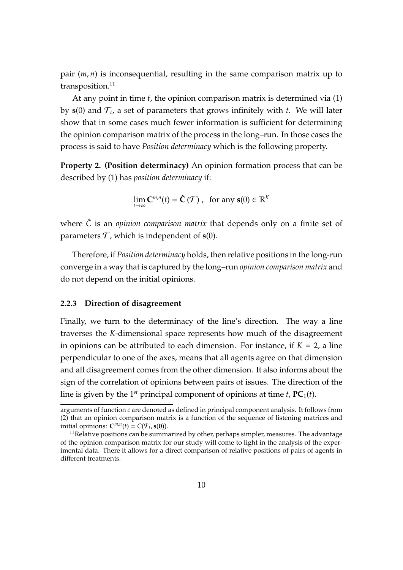pair (*m*, *n*) is inconsequential, resulting in the same comparison matrix up to transposition.<sup>11</sup>

At any point in time *t*, the opinion comparison matrix is determined via [\(1\)](#page-6-0) by  $s(0)$  and  $\mathcal{T}_t$ , a set of parameters that grows infinitely with *t*. We will later show that in some cases much fewer information is sufficient for determining the opinion comparison matrix of the process in the long–run. In those cases the process is said to have *Position determinacy* which is the following property.

**Property 2. (Position determinacy)** An opinion formation process that can be described by [\(1\)](#page-6-0) has *position determinacy* if:

$$
\lim_{t\to\infty} \mathbf{C}^{m,n}(t) = \hat{\mathbf{C}}(\mathcal{T}) \;,\;\;\text{for any}\;\mathbf{s}(0) \in \mathbb{R}^K
$$

where  $\hat{C}$  is an *opinion comparison matrix* that depends only on a finite set of parameters  $T$ , which is independent of  $s(0)$ .

Therefore, if *Position determinacy* holds, then relative positions in the long-run converge in a way that is captured by the long–run *opinion comparison matrix* and do not depend on the initial opinions.

#### **2.2.3 Direction of disagreement**

Finally, we turn to the determinacy of the line's direction. The way a line traverses the *K*-dimensional space represents how much of the disagreement in opinions can be attributed to each dimension. For instance, if  $K = 2$ , a line perpendicular to one of the axes, means that all agents agree on that dimension and all disagreement comes from the other dimension. It also informs about the sign of the correlation of opinions between pairs of issues. The direction of the line is given by the 1<sup>st</sup> principal component of opinions at time  $t$ ,  $PC_1(t)$ .

arguments of function *c* are denoted as defined in principal component analysis. It follows from [\(2\)](#page-6-1) that an opinion comparison matrix is a function of the sequence of listening matrices and initial opinions:  $\mathbf{C}^{m,n}(t) = C(\mathcal{T}_t, \mathbf{s}(0)).$ 

 $11$ Relative positions can be summarized by other, perhaps simpler, measures. The advantage of the opinion comparison matrix for our study will come to light in the analysis of the experimental data. There it allows for a direct comparison of relative positions of pairs of agents in different treatments.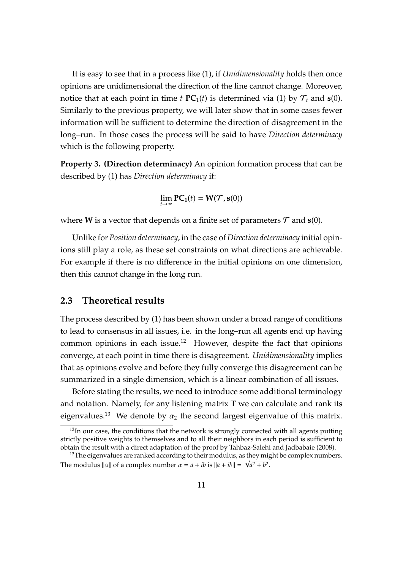It is easy to see that in a process like [\(1\)](#page-6-0), if *Unidimensionality* holds then once opinions are unidimensional the direction of the line cannot change. Moreover, notice that at each point in time *t*  $PC_1(t)$  is determined via [\(1\)](#page-6-0) by  $\mathcal{T}_t$  and  $\mathbf{s}(0)$ . Similarly to the previous property, we will later show that in some cases fewer information will be sufficient to determine the direction of disagreement in the long–run. In those cases the process will be said to have *Direction determinacy* which is the following property.

**Property 3. (Direction determinacy)** An opinion formation process that can be described by [\(1\)](#page-6-0) has *Direction determinacy* if:

$$
\lim_{t\to\infty}\mathbf{PC_1}(t)=\mathbf{W}(\mathcal{T},\mathbf{s}(0))
$$

where **W** is a vector that depends on a finite set of parameters  $T$  and  $s(0)$ .

Unlike for *Position determinacy*, in the case of *Direction determinacy* initial opinions still play a role, as these set constraints on what directions are achievable. For example if there is no difference in the initial opinions on one dimension, then this cannot change in the long run.

# **2.3 Theoretical results**

The process described by (1) has been shown under a broad range of conditions to lead to consensus in all issues, i.e. in the long–run all agents end up having common opinions in each issue.<sup>12</sup> However, despite the fact that opinions converge, at each point in time there is disagreement. *Unidimensionality* implies that as opinions evolve and before they fully converge this disagreement can be summarized in a single dimension, which is a linear combination of all issues.

Before stating the results, we need to introduce some additional terminology and notation. Namely, for any listening matrix **T** we can calculate and rank its eigenvalues.<sup>13</sup> We denote by  $\alpha_2$  the second largest eigenvalue of this matrix.

 $12$ In our case, the conditions that the network is strongly connected with all agents putting strictly positive weights to themselves and to all their neighbors in each period is sufficient to obtain the result with a direct adaptation of the proof by [Tahbaz-Salehi and Jadbabaie](#page-35-5) [\(2008\)](#page-35-5).

 $^{13}$ The eigenvalues are ranked according to their modulus, as they might be complex numbers. The modulus  $||\alpha||$  of a complex number  $\alpha = a + ib$  is  $||a + ib|| = \sqrt{a^2 + b^2}$ .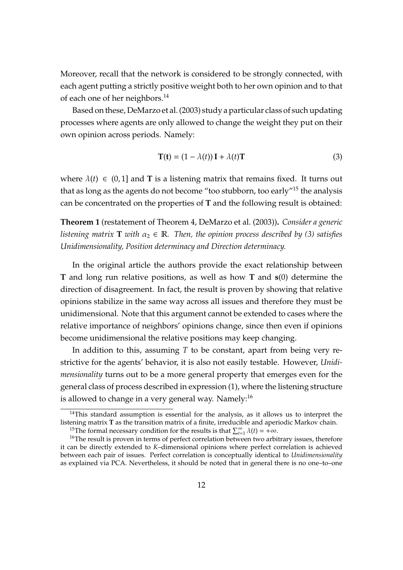Moreover, recall that the network is considered to be strongly connected, with each agent putting a strictly positive weight both to her own opinion and to that of each one of her neighbors.<sup>14</sup>

Based on these, [DeMarzo et al.\(2003\)](#page-34-9) study a particular class of such updating processes where agents are only allowed to change the weight they put on their own opinion across periods. Namely:

<span id="page-11-0"></span>
$$
\mathbf{T(t)} = (1 - \lambda(t))\,\mathbf{I} + \lambda(t)\mathbf{T} \tag{3}
$$

where  $\lambda(t) \in (0,1]$  and **T** is a listening matrix that remains fixed. It turns out that as long as the agents do not become "too stubborn, too early"<sup>15</sup> the analysis can be concentrated on the properties of **T** and the following result is obtained:

**Theorem 1** (restatement of Theorem 4, [DeMarzo et al.](#page-34-9) [\(2003\)](#page-34-9))**.** *Consider a generic listening matrix* **T** *with*  $\alpha_2 \in \mathbb{R}$ *. Then, the opinion process described by [\(3\)](#page-11-0) satisfies Unidimensionality, Position determinacy and Direction determinacy.*

In the original article the authors provide the exact relationship between **T** and long run relative positions, as well as how **T** and **s**(0) determine the direction of disagreement. In fact, the result is proven by showing that relative opinions stabilize in the same way across all issues and therefore they must be unidimensional. Note that this argument cannot be extended to cases where the relative importance of neighbors' opinions change, since then even if opinions become unidimensional the relative positions may keep changing.

In addition to this, assuming *T* to be constant, apart from being very restrictive for the agents' behavior, it is also not easily testable. However, *Unidimensionality* turns out to be a more general property that emerges even for the general class of process described in expression (1), where the listening structure is allowed to change in a very general way. Namely: $^{16}$ 

 $14$ This standard assumption is essential for the analysis, as it allows us to interpret the listening matrix **T** as the transition matrix of a finite, irreducible and aperiodic Markov chain.

<sup>&</sup>lt;sup>15</sup>The formal necessary condition for the results is that  $\sum_{t=1}^{\infty} \lambda(t) = +\infty$ .

 $16$ The result is proven in terms of perfect correlation between two arbitrary issues, therefore it can be directly extended to *K*–dimensional opinions where perfect correlation is achieved between each pair of issues. Perfect correlation is conceptually identical to *Unidimensionality* as explained via PCA. Nevertheless, it should be noted that in general there is no one–to–one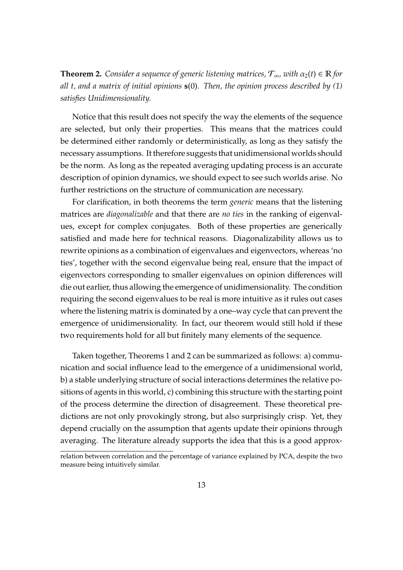<span id="page-12-0"></span>**Theorem 2.** *Consider a sequence of generic listening matrices,*  $\mathcal{T}_{\infty}$ *, with*  $\alpha_2(t) \in \mathbb{R}$  *for all t, and a matrix of initial opinions* **s**(0)*. Then, the opinion process described by [\(1\)](#page-6-0) satisfies Unidimensionality.*

Notice that this result does not specify the way the elements of the sequence are selected, but only their properties. This means that the matrices could be determined either randomly or deterministically, as long as they satisfy the necessary assumptions. It therefore suggests that unidimensional worlds should be the norm. As long as the repeated averaging updating process is an accurate description of opinion dynamics, we should expect to see such worlds arise. No further restrictions on the structure of communication are necessary.

For clarification, in both theorems the term *generic* means that the listening matrices are *diagonalizable* and that there are *no ties* in the ranking of eigenvalues, except for complex conjugates. Both of these properties are generically satisfied and made here for technical reasons. Diagonalizability allows us to rewrite opinions as a combination of eigenvalues and eigenvectors, whereas 'no ties', together with the second eigenvalue being real, ensure that the impact of eigenvectors corresponding to smaller eigenvalues on opinion differences will die out earlier, thus allowing the emergence of unidimensionality. The condition requiring the second eigenvalues to be real is more intuitive as it rules out cases where the listening matrix is dominated by a one–way cycle that can prevent the emergence of unidimensionality. In fact, our theorem would still hold if these two requirements hold for all but finitely many elements of the sequence.

Taken together, Theorems 1 and 2 can be summarized as follows: a) communication and social influence lead to the emergence of a unidimensional world, b) a stable underlying structure of social interactions determines the relative positions of agents in this world, c) combining this structure with the starting point of the process determine the direction of disagreement. These theoretical predictions are not only provokingly strong, but also surprisingly crisp. Yet, they depend crucially on the assumption that agents update their opinions through averaging. The literature already supports the idea that this is a good approx-

relation between correlation and the percentage of variance explained by PCA, despite the two measure being intuitively similar.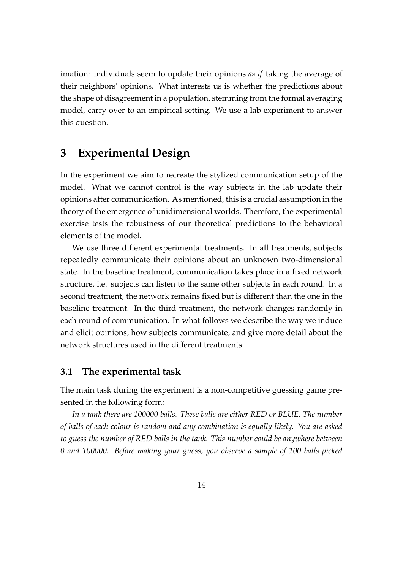imation: individuals seem to update their opinions *as if* taking the average of their neighbors' opinions. What interests us is whether the predictions about the shape of disagreement in a population, stemming from the formal averaging model, carry over to an empirical setting. We use a lab experiment to answer this question.

# **3 Experimental Design**

In the experiment we aim to recreate the stylized communication setup of the model. What we cannot control is the way subjects in the lab update their opinions after communication. As mentioned, this is a crucial assumption in the theory of the emergence of unidimensional worlds. Therefore, the experimental exercise tests the robustness of our theoretical predictions to the behavioral elements of the model.

We use three different experimental treatments. In all treatments, subjects repeatedly communicate their opinions about an unknown two-dimensional state. In the baseline treatment, communication takes place in a fixed network structure, i.e. subjects can listen to the same other subjects in each round. In a second treatment, the network remains fixed but is different than the one in the baseline treatment. In the third treatment, the network changes randomly in each round of communication. In what follows we describe the way we induce and elicit opinions, how subjects communicate, and give more detail about the network structures used in the different treatments.

# **3.1 The experimental task**

The main task during the experiment is a non-competitive guessing game presented in the following form:

*In a tank there are 100000 balls. These balls are either RED or BLUE. The number of balls of each colour is random and any combination is equally likely. You are asked to guess the number of RED balls in the tank. This number could be anywhere between 0 and 100000. Before making your guess, you observe a sample of 100 balls picked*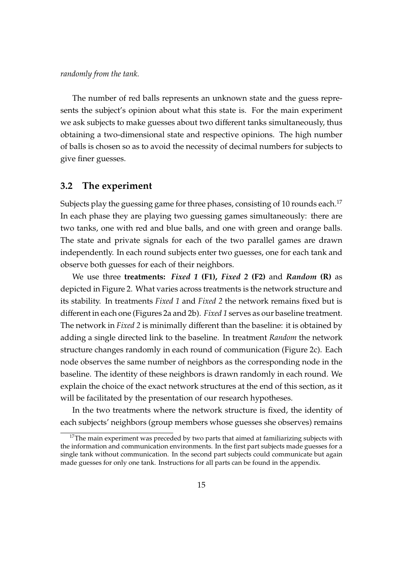#### *randomly from the tank.*

The number of red balls represents an unknown state and the guess represents the subject's opinion about what this state is. For the main experiment we ask subjects to make guesses about two different tanks simultaneously, thus obtaining a two-dimensional state and respective opinions. The high number of balls is chosen so as to avoid the necessity of decimal numbers for subjects to give finer guesses.

### **3.2 The experiment**

Subjects play the guessing game for three phases, consisting of 10 rounds each.<sup>17</sup> In each phase they are playing two guessing games simultaneously: there are two tanks, one with red and blue balls, and one with green and orange balls. The state and private signals for each of the two parallel games are drawn independently. In each round subjects enter two guesses, one for each tank and observe both guesses for each of their neighbors.

We use three **treatments:** *Fixed 1* **(F1),** *Fixed 2* **(F2)** and *Random* **(R)** as depicted in Figure [2.](#page-15-0) What varies across treatments is the network structure and its stability. In treatments *Fixed 1* and *Fixed 2* the network remains fixed but is different in each one (Figures [2a](#page-15-0) and [2b\)](#page-15-0). *Fixed 1* serves as our baseline treatment. The network in *Fixed 2* is minimally different than the baseline: it is obtained by adding a single directed link to the baseline. In treatment *Random* the network structure changes randomly in each round of communication (Figure [2c\)](#page-15-0). Each node observes the same number of neighbors as the corresponding node in the baseline. The identity of these neighbors is drawn randomly in each round. We explain the choice of the exact network structures at the end of this section, as it will be facilitated by the presentation of our research hypotheses.

In the two treatments where the network structure is fixed, the identity of each subjects' neighbors (group members whose guesses she observes) remains

 $17$ The main experiment was preceded by two parts that aimed at familiarizing subjects with the information and communication environments. In the first part subjects made guesses for a single tank without communication. In the second part subjects could communicate but again made guesses for only one tank. Instructions for all parts can be found in the appendix.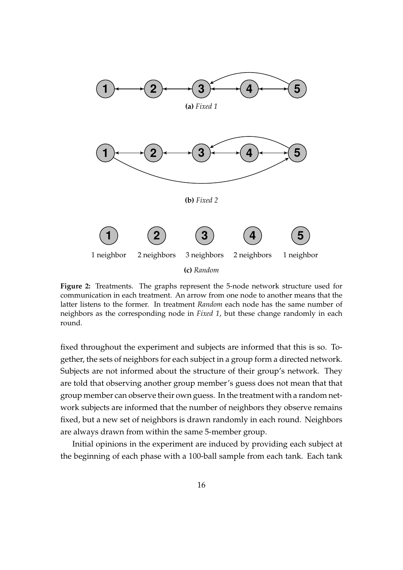<span id="page-15-0"></span>

**Figure 2:** Treatments. The graphs represent the 5-node network structure used for communication in each treatment. An arrow from one node to another means that the latter listens to the former. In treatment *Random* each node has the same number of neighbors as the corresponding node in *Fixed 1*, but these change randomly in each round.

fixed throughout the experiment and subjects are informed that this is so. Together, the sets of neighbors for each subject in a group form a directed network. Subjects are not informed about the structure of their group's network. They are told that observing another group member's guess does not mean that that group member can observe their own guess. In the treatment with a random network subjects are informed that the number of neighbors they observe remains fixed, but a new set of neighbors is drawn randomly in each round. Neighbors are always drawn from within the same 5-member group.

Initial opinions in the experiment are induced by providing each subject at the beginning of each phase with a 100-ball sample from each tank. Each tank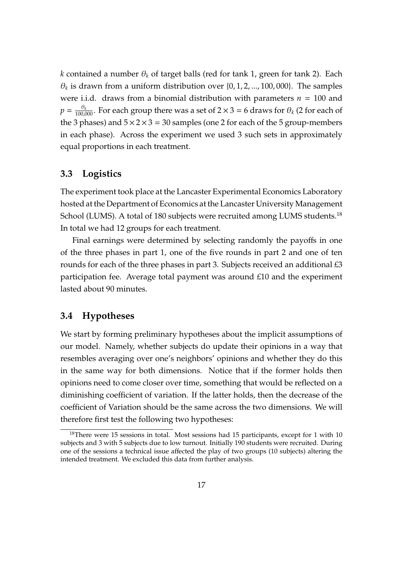*k* contained a number  $\theta_k$  of target balls (red for tank 1, green for tank 2). Each  $\theta_k$  is drawn from a uniform distribution over  $\{0, 1, 2, ..., 100, 000\}$ . The samples were i.i.d. draws from a binomial distribution with parameters  $n = 100$  and  $p = \frac{\theta_k}{100,000}$ . For each group there was a set of 2  $\times$  3 = 6 draws for  $\theta_k$  (2 for each of the 3 phases) and  $5 \times 2 \times 3 = 30$  samples (one 2 for each of the 5 group-members in each phase). Across the experiment we used 3 such sets in approximately equal proportions in each treatment.

# **3.3 Logistics**

The experiment took place at the Lancaster Experimental Economics Laboratory hosted at the Department of Economics at the Lancaster University Management School (LUMS). A total of 180 subjects were recruited among LUMS students.<sup>18</sup> In total we had 12 groups for each treatment.

Final earnings were determined by selecting randomly the payoffs in one of the three phases in part 1, one of the five rounds in part 2 and one of ten rounds for each of the three phases in part 3. Subjects received an additional £3 participation fee. Average total payment was around £10 and the experiment lasted about 90 minutes.

# **3.4 Hypotheses**

We start by forming preliminary hypotheses about the implicit assumptions of our model. Namely, whether subjects do update their opinions in a way that resembles averaging over one's neighbors' opinions and whether they do this in the same way for both dimensions. Notice that if the former holds then opinions need to come closer over time, something that would be reflected on a diminishing coefficient of variation. If the latter holds, then the decrease of the coefficient of Variation should be the same across the two dimensions. We will therefore first test the following two hypotheses:

<sup>&</sup>lt;sup>18</sup>There were 15 sessions in total. Most sessions had 15 participants, except for 1 with 10 subjects and 3 with 5 subjects due to low turnout. Initially 190 students were recruited. During one of the sessions a technical issue affected the play of two groups (10 subjects) altering the intended treatment. We excluded this data from further analysis.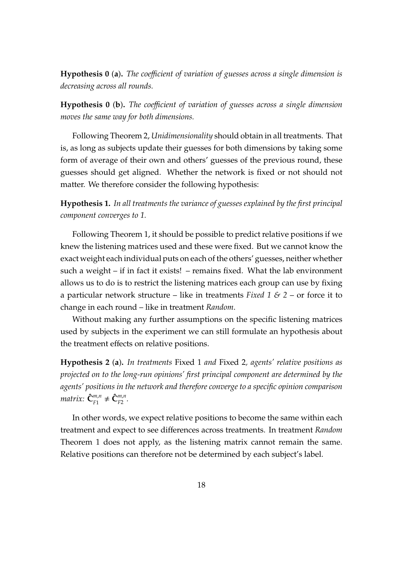**Hypothesis 0** (**a**)**.** *The coe*ffi*cient of variation of guesses across a single dimension is decreasing across all rounds.*

**Hypothesis 0** (**b**)**.** *The coe*ffi*cient of variation of guesses across a single dimension moves the same way for both dimensions.*

Following Theorem 2, *Unidimensionality* should obtain in all treatments. That is, as long as subjects update their guesses for both dimensions by taking some form of average of their own and others' guesses of the previous round, these guesses should get aligned. Whether the network is fixed or not should not matter. We therefore consider the following hypothesis:

**Hypothesis 1.** *In all treatments the variance of guesses explained by the first principal component converges to 1.*

Following Theorem 1, it should be possible to predict relative positions if we knew the listening matrices used and these were fixed. But we cannot know the exact weight each individual puts on each of the others' guesses, neither whether such a weight – if in fact it exists! – remains fixed. What the lab environment allows us to do is to restrict the listening matrices each group can use by fixing a particular network structure – like in treatments *Fixed 1 & 2* – or force it to change in each round – like in treatment *Random*.

Without making any further assumptions on the specific listening matrices used by subjects in the experiment we can still formulate an hypothesis about the treatment effects on relative positions.

**Hypothesis 2** (**a**)**.** *In treatments* Fixed 1 *and* Fixed 2*, agents' relative positions as projected on to the long-run opinions' first principal component are determined by the agents' positions in the network and therefore converge to a specific opinion comparison matrix:*  $\hat{\mathbf{C}}_{F1}^{m,n} \neq \hat{\mathbf{C}}_{F2}^{m,n}$ .

In other words, we expect relative positions to become the same within each treatment and expect to see differences across treatments. In treatment *Random* Theorem 1 does not apply, as the listening matrix cannot remain the same. Relative positions can therefore not be determined by each subject's label.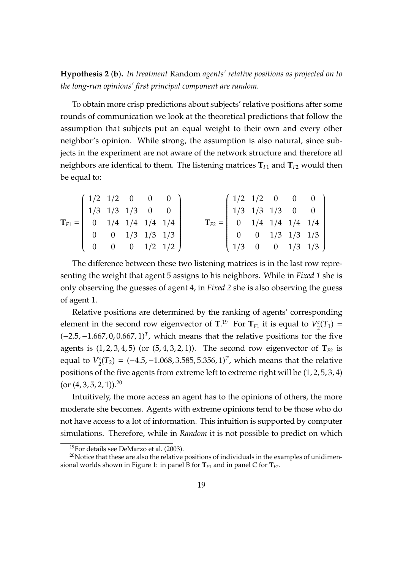**Hypothesis 2** (**b**)**.** *In treatment* Random *agents' relative positions as projected on to the long-run opinions' first principal component are random.*

To obtain more crisp predictions about subjects' relative positions after some rounds of communication we look at the theoretical predictions that follow the assumption that subjects put an equal weight to their own and every other neighbor's opinion. While strong, the assumption is also natural, since subjects in the experiment are not aware of the network structure and therefore all neighbors are identical to them. The listening matrices  $T_{F1}$  and  $T_{F2}$  would then be equal to:

$$
\mathbf{T}_{F1} = \begin{pmatrix} 1/2 & 1/2 & 0 & 0 & 0 \\ 1/3 & 1/3 & 1/3 & 0 & 0 \\ 0 & 1/4 & 1/4 & 1/4 & 1/4 \\ 0 & 0 & 1/3 & 1/3 & 1/3 \\ 0 & 0 & 0 & 1/2 & 1/2 \end{pmatrix} \qquad \mathbf{T}_{F2} = \begin{pmatrix} 1/2 & 1/2 & 0 & 0 & 0 \\ 1/3 & 1/3 & 1/3 & 0 & 0 \\ 0 & 1/4 & 1/4 & 1/4 & 1/4 \\ 0 & 0 & 1/3 & 1/3 & 1/3 \\ 1/3 & 0 & 0 & 1/3 & 1/3 \end{pmatrix}
$$

The difference between these two listening matrices is in the last row representing the weight that agent 5 assigns to his neighbors. While in *Fixed 1* she is only observing the guesses of agent 4, in *Fixed 2* she is also observing the guess of agent 1.

Relative positions are determined by the ranking of agents' corresponding element in the second row eigenvector of  $T^{19}$  For  $T_{F1}$  it is equal to  $V_2^c$  $C_2^c(T_1) =$  $(-2.5, -1.667, 0, 0.667, 1)^T$ , which means that the relative positions for the five agents is  $(1, 2, 3, 4, 5)$  (or  $(5, 4, 3, 2, 1)$ ). The second row eigenvector of  $T_{F2}$  is equal to *V c*  $C_2^c(T_2) = (-4.5, -1.068, 3.585, 5.356, 1)^T$ , which means that the relative positions of the five agents from extreme left to extreme right will be (1, 2, 5, 3, 4) (or  $(4, 3, 5, 2, 1)$ ).<sup>20</sup>

Intuitively, the more access an agent has to the opinions of others, the more moderate she becomes. Agents with extreme opinions tend to be those who do not have access to a lot of information. This intuition is supported by computer simulations. Therefore, while in *Random* it is not possible to predict on which

<sup>19</sup>For details see [DeMarzo et al.](#page-34-9) [\(2003\)](#page-34-9).

 $20$ Notice that these are also the relative positions of individuals in the examples of unidimen-sional worlds shown in Figure [1:](#page-2-0) in panel B for  $T_{F1}$  and in panel C for  $T_{F2}$ .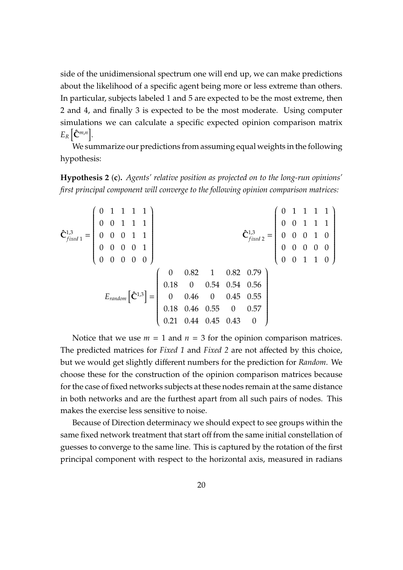side of the unidimensional spectrum one will end up, we can make predictions about the likelihood of a specific agent being more or less extreme than others. In particular, subjects labeled 1 and 5 are expected to be the most extreme, then 2 and 4, and finally 3 is expected to be the most moderate. Using computer simulations we can calculate a specific expected opinion comparison matrix  $E_R$   $\left[ \hat{\mathbf{C}}^{m,n} \right]$ .

We summarize our predictions from assuming equal weights in the following hypothesis:

**Hypothesis 2** (**c**)**.** *Agents' relative position as projected on to the long-run opinions' first principal component will converge to the following opinion comparison matrices:*

| $\mathbf{\hat{C}}_{fixed\,1}^{1,3} = \left(\begin{array}{cccc} 0 & 1 & 1 & 1 & 1\\ 0 & 0 & 1 & 1 & 1\\ 0 & 0 & 0 & 1 & 1\\ 0 & 0 & 0 & 0 & 1\\ 0 & 0 & 0 & 0 & 0 \end{array}\right)$ |  |  |  |  | $\mathbf{\hat{C}}_{fixed\,2}^{1,3} = \left(\begin{array}{rrrrr} 0 & 1 & 1 & 1 & 1 \\ 0 & 0 & 1 & 1 & 1 \\ 0 & 0 & 0 & 1 & 0 \\ 0 & 0 & 0 & 0 & 0 \\ 0 & 0 & 1 & 1 & 0 \end{array}\right)$                                                            |  |  |  |
|--------------------------------------------------------------------------------------------------------------------------------------------------------------------------------------|--|--|--|--|------------------------------------------------------------------------------------------------------------------------------------------------------------------------------------------------------------------------------------------------------|--|--|--|
|                                                                                                                                                                                      |  |  |  |  | $E_{random}$ $\left[\hat{C}^{1,3}\right] = \left(\begin{array}{cccc} 0 & 0.82 & 1 & 0.82 & 0.79 \\ 0.18 & 0 & 0.54 & 0.54 & 0.56 \\ 0 & 0.46 & 0 & 0.45 & 0.55 \\ 0.18 & 0.46 & 0.55 & 0 & 0.57 \\ 0.21 & 0.44 & 0.45 & 0.43 & 0 \end{array}\right)$ |  |  |  |
|                                                                                                                                                                                      |  |  |  |  |                                                                                                                                                                                                                                                      |  |  |  |
|                                                                                                                                                                                      |  |  |  |  |                                                                                                                                                                                                                                                      |  |  |  |
|                                                                                                                                                                                      |  |  |  |  |                                                                                                                                                                                                                                                      |  |  |  |
|                                                                                                                                                                                      |  |  |  |  |                                                                                                                                                                                                                                                      |  |  |  |

Notice that we use  $m = 1$  and  $n = 3$  for the opinion comparison matrices. The predicted matrices for *Fixed 1* and *Fixed 2* are not affected by this choice, but we would get slightly different numbers for the prediction for *Random*. We choose these for the construction of the opinion comparison matrices because for the case of fixed networks subjects at these nodes remain at the same distance in both networks and are the furthest apart from all such pairs of nodes. This makes the exercise less sensitive to noise.

Because of Direction determinacy we should expect to see groups within the same fixed network treatment that start off from the same initial constellation of guesses to converge to the same line. This is captured by the rotation of the first principal component with respect to the horizontal axis, measured in radians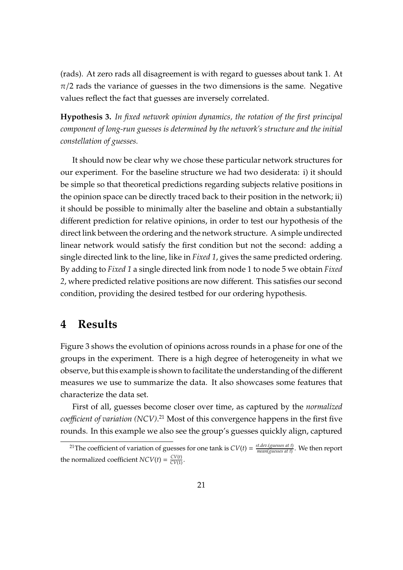(rads). At zero rads all disagreement is with regard to guesses about tank 1. At  $\pi/2$  rads the variance of guesses in the two dimensions is the same. Negative values reflect the fact that guesses are inversely correlated.

**Hypothesis 3.** *In fixed network opinion dynamics, the rotation of the first principal component of long-run guesses is determined by the network's structure and the initial constellation of guesses.*

It should now be clear why we chose these particular network structures for our experiment. For the baseline structure we had two desiderata: i) it should be simple so that theoretical predictions regarding subjects relative positions in the opinion space can be directly traced back to their position in the network; ii) it should be possible to minimally alter the baseline and obtain a substantially different prediction for relative opinions, in order to test our hypothesis of the direct link between the ordering and the network structure. A simple undirected linear network would satisfy the first condition but not the second: adding a single directed link to the line, like in *Fixed 1*, gives the same predicted ordering. By adding to *Fixed 1* a single directed link from node 1 to node 5 we obtain *Fixed 2*, where predicted relative positions are now different. This satisfies our second condition, providing the desired testbed for our ordering hypothesis.

# **4 Results**

Figure [3](#page-21-0) shows the evolution of opinions across rounds in a phase for one of the groups in the experiment. There is a high degree of heterogeneity in what we observe, but this example is shown to facilitate the understanding of the different measures we use to summarize the data. It also showcases some features that characterize the data set.

First of all, guesses become closer over time, as captured by the *normalized coe*ffi*cient of variation (NCV)*. <sup>21</sup> Most of this convergence happens in the first five rounds. In this example we also see the group's guesses quickly align, captured

<sup>&</sup>lt;sup>21</sup>The coefficient of variation of guesses for one tank is  $CV(t) = \frac{st.dev(guesses at t)}{mean(ouesses at t)}$ *mean*(*guesses at t*) . We then report the normalized coefficient  $NCV(t) = \frac{CV(t)}{CV(1)}$ .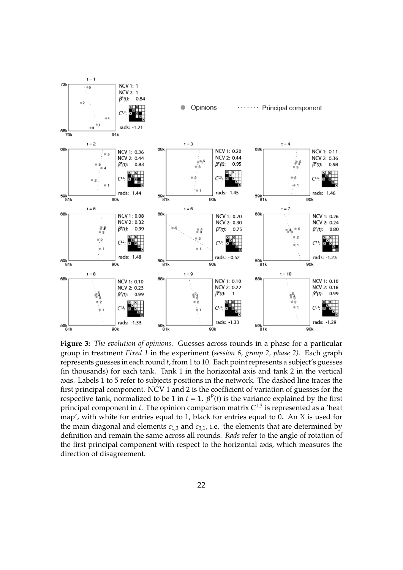<span id="page-21-0"></span>

**Figure 3:** *The evolution of opinions.* Guesses across rounds in a phase for a particular group in treatment *Fixed 1* in the experiment (*session 6, group 2, phase 2)*. Each graph represents guesses in each round *t*, from 1 to 10. Each point represents a subject's guesses (in thousands) for each tank. Tank 1 in the horizontal axis and tank 2 in the vertical axis. Labels 1 to 5 refer to subjects positions in the network. The dashed line traces the first principal component. NCV 1 and 2 is the coefficient of variation of guesses for the respective tank, normalized to be 1 in  $t = 1$ .  $β<sup>P</sup>(t)$  is the variance explained by the first principal component in *t*. The opinion comparison matrix *C* 1,3 is represented as a 'heat map', with white for entries equal to 1, black for entries equal to 0. An X is used for the main diagonal and elements  $c_{1,3}$  and  $c_{3,1}$ , i.e. the elements that are determined by definition and remain the same across all rounds. *Rads* refer to the angle of rotation of the first principal component with respect to the horizontal axis, which measures the direction of disagreement.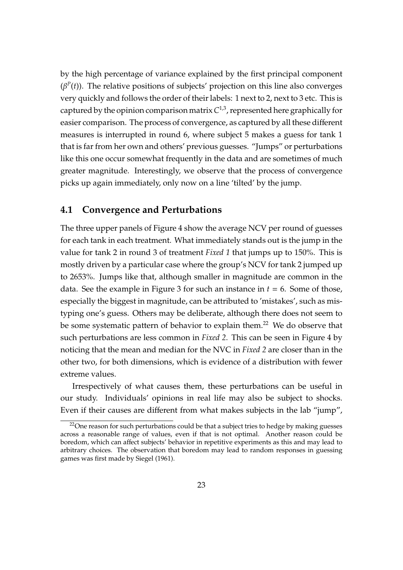by the high percentage of variance explained by the first principal component  $(\beta^P(t))$ . The relative positions of subjects' projection on this line also converges very quickly and follows the order of their labels: 1 next to 2, next to 3 etc. This is captured by the opinion comparison matrix  $C^{1,3}$ , represented here graphically for easier comparison. The process of convergence, as captured by all these different measures is interrupted in round 6, where subject 5 makes a guess for tank 1 that is far from her own and others' previous guesses. "Jumps" or perturbations like this one occur somewhat frequently in the data and are sometimes of much greater magnitude. Interestingly, we observe that the process of convergence picks up again immediately, only now on a line 'tilted' by the jump.

### **4.1 Convergence and Perturbations**

The three upper panels of Figure [4](#page-23-0) show the average NCV per round of guesses for each tank in each treatment. What immediately stands out is the jump in the value for tank 2 in round 3 of treatment *Fixed 1* that jumps up to 150%. This is mostly driven by a particular case where the group's NCV for tank 2 jumped up to 2653%. Jumps like that, although smaller in magnitude are common in the data. See the example in Figure [3](#page-21-0) for such an instance in  $t = 6$ . Some of those, especially the biggest in magnitude, can be attributed to 'mistakes', such as mistyping one's guess. Others may be deliberate, although there does not seem to be some systematic pattern of behavior to explain them.<sup>22</sup> We do observe that such perturbations are less common in *Fixed 2*. This can be seen in Figure [4](#page-23-0) by noticing that the mean and median for the NVC in *Fixed 2* are closer than in the other two, for both dimensions, which is evidence of a distribution with fewer extreme values.

Irrespectively of what causes them, these perturbations can be useful in our study. Individuals' opinions in real life may also be subject to shocks. Even if their causes are different from what makes subjects in the lab "jump",

 $22$ One reason for such perturbations could be that a subject tries to hedge by making guesses across a reasonable range of values, even if that is not optimal. Another reason could be boredom, which can affect subjects' behavior in repetitive experiments as this and may lead to arbitrary choices. The observation that boredom may lead to random responses in guessing games was first made by [Siegel](#page-35-12) [\(1961\)](#page-35-12).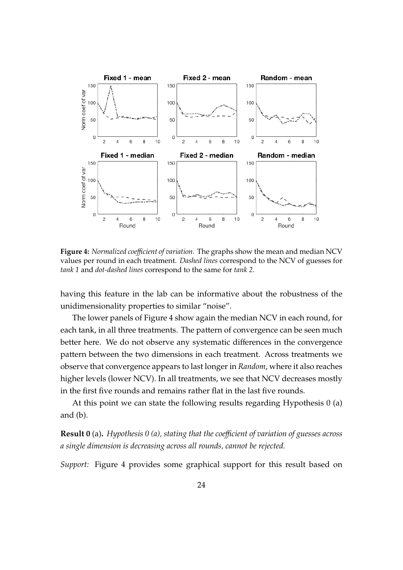<span id="page-23-0"></span>

**Figure 4:** *Normalized coe*ffi*cient of variation.* The graphs show the mean and median NCV values per round in each treatment. *Dashed lines* correspond to the NCV of guesses for *tank 1* and *dot-dashed lines* correspond to the same for *tank 2*.

having this feature in the lab can be informative about the robustness of the unidimensionality properties to similar "noise".

The lower panels of Figure [4](#page-23-0) show again the median NCV in each round, for each tank, in all three treatments. The pattern of convergence can be seen much better here. We do not observe any systematic differences in the convergence pattern between the two dimensions in each treatment. Across treatments we observe that convergence appears to last longer in *Random*, where it also reaches higher levels (lower NCV). In all treatments, we see that NCV decreases mostly in the first five rounds and remains rather flat in the last five rounds.

At this point we can state the following results regarding Hypothesis 0 (a) and (b).

**Result 0** (a). *Hypothesis 0 (a), stating that the coefficient of variation of guesses across a single dimension is decreasing across all rounds, cannot be rejected.*

*Support:* Figure [4](#page-23-0) provides some graphical support for this result based on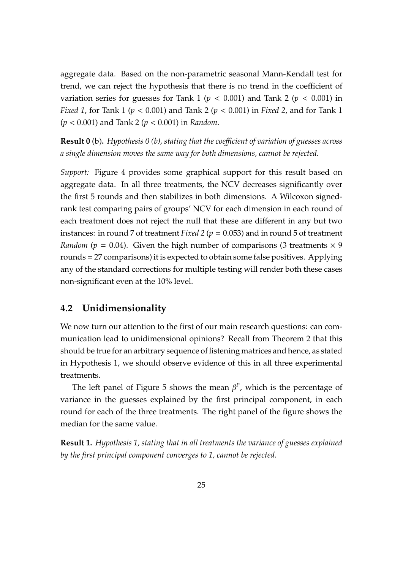aggregate data. Based on the non-parametric seasonal Mann-Kendall test for trend, we can reject the hypothesis that there is no trend in the coefficient of variation series for guesses for Tank 1 ( $p < 0.001$ ) and Tank 2 ( $p < 0.001$ ) in *Fixed 1*, for Tank 1 (*p* < 0.001) and Tank 2 (*p* < 0.001) in *Fixed 2*, and for Tank 1 (*p* < 0.001) and Tank 2 (*p* < 0.001) in *Random*.

**Result 0** (b). *Hypothesis 0 (b), stating that the coefficient of variation of guesses across a single dimension moves the same way for both dimensions, cannot be rejected.*

*Support:* Figure [4](#page-23-0) provides some graphical support for this result based on aggregate data. In all three treatments, the NCV decreases significantly over the first 5 rounds and then stabilizes in both dimensions. A Wilcoxon signedrank test comparing pairs of groups' NCV for each dimension in each round of each treatment does not reject the null that these are different in any but two instances: in round 7 of treatment *Fixed 2* (*p* = 0.053) and in round 5 of treatment *Random* ( $p = 0.04$ ). Given the high number of comparisons (3 treatments  $\times$  9 rounds = 27 comparisons) it is expected to obtain some false positives. Applying any of the standard corrections for multiple testing will render both these cases non-significant even at the 10% level.

# **4.2 Unidimensionality**

We now turn our attention to the first of our main research questions: can communication lead to unidimensional opinions? Recall from Theorem 2 that this should be true for an arbitrary sequence of listening matrices and hence, as stated in Hypothesis 1, we should observe evidence of this in all three experimental treatments.

The left panel of Figure [5](#page-25-0) shows the mean  $\beta^P$ , which is the percentage of variance in the guesses explained by the first principal component, in each round for each of the three treatments. The right panel of the figure shows the median for the same value.

**Result 1.** *Hypothesis 1, stating that in all treatments the variance of guesses explained by the first principal component converges to 1, cannot be rejected.*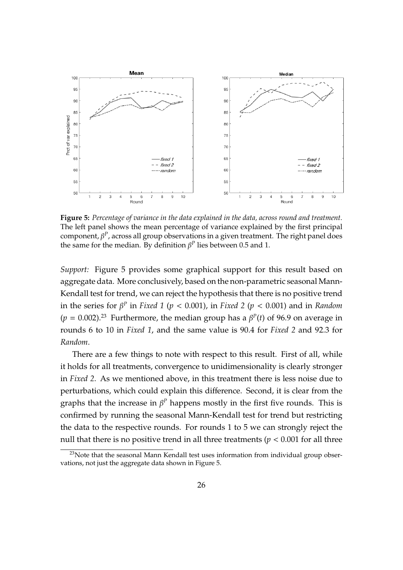<span id="page-25-0"></span>

**Figure 5:** *Percentage of variance in the data explained in the data, across round and treatment.* The left panel shows the mean percentage of variance explained by the first principal component, β *P* , across all group observations in a given treatment. The right panel does the same for the median. By definition  $\beta^P$  lies between 0.5 and 1.

*Support:* Figure [5](#page-25-0) provides some graphical support for this result based on aggregate data. More conclusively, based on the non-parametric seasonal Mann-Kendall test for trend, we can reject the hypothesis that there is no positive trend in the series for β *P* in *Fixed 1* (*p* < 0.001), in *Fixed 2* (*p* < 0.001) and in *Random*  $(p = 0.002).^{23}$  Furthermore, the median group has a  $\beta^{P}(t)$  of 96.9 on average in rounds 6 to 10 in *Fixed 1*, and the same value is 90.4 for *Fixed 2* and 92.3 for *Random*.

There are a few things to note with respect to this result. First of all, while it holds for all treatments, convergence to unidimensionality is clearly stronger in *Fixed 2*. As we mentioned above, in this treatment there is less noise due to perturbations, which could explain this difference. Second, it is clear from the graphs that the increase in  $\beta^P$  happens mostly in the first five rounds. This is confirmed by running the seasonal Mann-Kendall test for trend but restricting the data to the respective rounds. For rounds 1 to 5 we can strongly reject the null that there is no positive trend in all three treatments ( $p < 0.001$  for all three

 $23$ Note that the seasonal Mann Kendall test uses information from individual group observations, not just the aggregate data shown in Figure [5.](#page-25-0)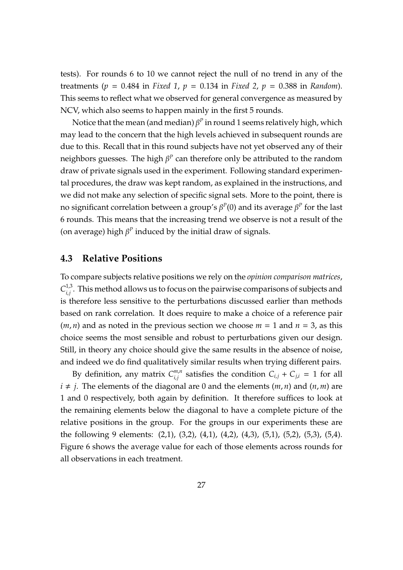tests). For rounds 6 to 10 we cannot reject the null of no trend in any of the treatments (*p* = 0.484 in *Fixed 1*, *p* = 0.134 in *Fixed 2*, *p* = 0.388 in *Random*). This seems to reflect what we observed for general convergence as measured by NCV, which also seems to happen mainly in the first 5 rounds.

Notice that the mean (and median)  $\beta^P$  in round 1 seems relatively high, which may lead to the concern that the high levels achieved in subsequent rounds are due to this. Recall that in this round subjects have not yet observed any of their neighbors guesses. The high  $\beta^P$  can therefore only be attributed to the random draw of private signals used in the experiment. Following standard experimental procedures, the draw was kept random, as explained in the instructions, and we did not make any selection of specific signal sets. More to the point, there is no significant correlation between a group's  $\beta^P(0)$  and its average  $\beta^P$  for the last 6 rounds. This means that the increasing trend we observe is not a result of the (on average) high  $\beta^P$  induced by the initial draw of signals.

### **4.3 Relative Positions**

To compare subjects relative positions we rely on the *opinion comparison matrices*,  $C_i^{1,3}$ <sup>1,3</sup>. This method allows us to focus on the pairwise comparisons of subjects and is therefore less sensitive to the perturbations discussed earlier than methods based on rank correlation. It does require to make a choice of a reference pair  $(m, n)$  and as noted in the previous section we choose  $m = 1$  and  $n = 3$ , as this choice seems the most sensible and robust to perturbations given our design. Still, in theory any choice should give the same results in the absence of noise, and indeed we do find qualitatively similar results when trying different pairs.

By definition, any matrix  $C_{i,j}^{m,n}$  $\int_{i,j}^{m,n}$  satisfies the condition  $C_{i,j} + C_{j,i} = 1$  for all  $i \neq j$ . The elements of the diagonal are 0 and the elements (*m*, *n*) and (*n*, *m*) are 1 and 0 respectively, both again by definition. It therefore suffices to look at the remaining elements below the diagonal to have a complete picture of the relative positions in the group. For the groups in our experiments these are the following 9 elements: (2,1), (3,2), (4,1), (4,2), (4,3), (5,1), (5,2), (5,3), (5,4). Figure [6](#page-28-0) shows the average value for each of those elements across rounds for all observations in each treatment.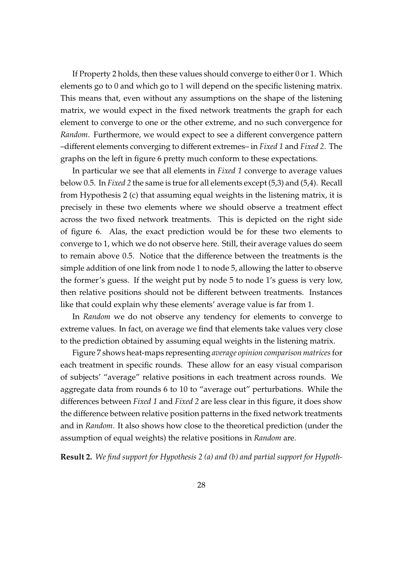If Property 2 holds, then these values should converge to either 0 or 1. Which elements go to 0 and which go to 1 will depend on the specific listening matrix. This means that, even without any assumptions on the shape of the listening matrix, we would expect in the fixed network treatments the graph for each element to converge to one or the other extreme, and no such convergence for *Random*. Furthermore, we would expect to see a different convergence pattern –different elements converging to different extremes– in *Fixed 1* and *Fixed 2*. The graphs on the left in figure [6](#page-28-0) pretty much conform to these expectations.

In particular we see that all elements in *Fixed 1* converge to average values below 0.5. In *Fixed 2* the same is true for all elements except (5,3) and (5,4). Recall from Hypothesis 2 (c) that assuming equal weights in the listening matrix, it is precisely in these two elements where we should observe a treatment effect across the two fixed network treatments. This is depicted on the right side of figure [6.](#page-28-0) Alas, the exact prediction would be for these two elements to converge to 1, which we do not observe here. Still, their average values do seem to remain above 0.5. Notice that the difference between the treatments is the simple addition of one link from node 1 to node 5, allowing the latter to observe the former's guess. If the weight put by node 5 to node 1's guess is very low, then relative positions should not be different between treatments. Instances like that could explain why these elements' average value is far from 1.

In *Random* we do not observe any tendency for elements to converge to extreme values. In fact, on average we find that elements take values very close to the prediction obtained by assuming equal weights in the listening matrix.

Figure [7](#page-29-0) shows heat-maps representing *average opinion comparison matrices*for each treatment in specific rounds. These allow for an easy visual comparison of subjects' "average" relative positions in each treatment across rounds. We aggregate data from rounds 6 to 10 to "average out" perturbations. While the differences between *Fixed 1* and *Fixed 2* are less clear in this figure, it does show the difference between relative position patterns in the fixed network treatments and in *Random*. It also shows how close to the theoretical prediction (under the assumption of equal weights) the relative positions in *Random* are.

**Result 2.** *We find support for Hypothesis 2 (a) and (b) and partial support for Hypoth-*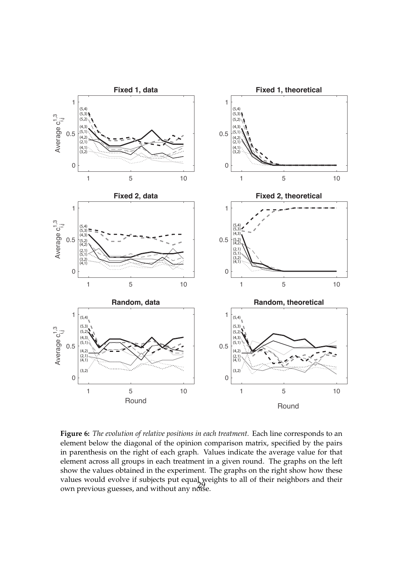<span id="page-28-0"></span>

**Figure 6:** *The evolution of relative positions in each treatment.* Each line corresponds to an element below the diagonal of the opinion comparison matrix, specified by the pairs in parenthesis on the right of each graph. Values indicate the average value for that element across all groups in each treatment in a given round. The graphs on the left show the values obtained in the experiment. The graphs on the right show how these values would evolve if subjects put equal weights to all of their neighbors and their own previous guesses, and without any noise.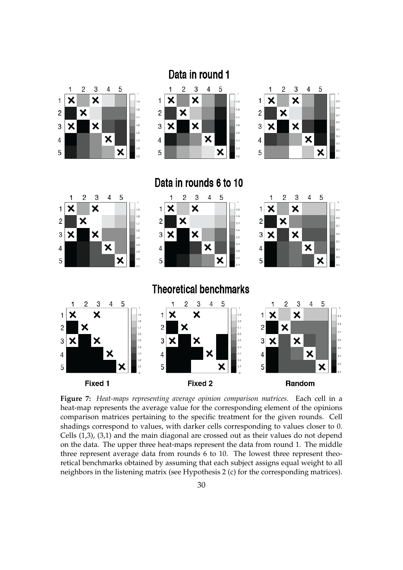<span id="page-29-0"></span>

**Figure 7:** *Heat-maps representing average opinion comparison matrices.* Each cell in a heat-map represents the average value for the corresponding element of the opinions comparison matrices pertaining to the specific treatment for the given rounds. Cell shadings correspond to values, with darker cells corresponding to values closer to 0. Cells (1,3), (3,1) and the main diagonal are crossed out as their values do not depend on the data. The upper three heat-maps represent the data from round 1. The middle three represent average data from rounds 6 to 10. The lowest three represent theoretical benchmarks obtained by assuming that each subject assigns equal weight to all neighbors in the listening matrix (see Hypothesis 2 (c) for the corresponding matrices).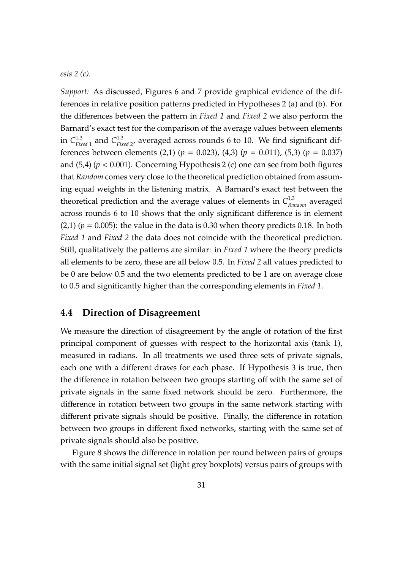*esis 2 (c).*

*Support:* As discussed, Figures [6](#page-28-0) and [7](#page-29-0) provide graphical evidence of the differences in relative position patterns predicted in Hypotheses 2 (a) and (b). For the differences between the pattern in *Fixed 1* and *Fixed 2* we also perform the Barnard's exact test for the comparison of the average values between elements in  $C_{\scriptscriptstyle Fi}^{1,3}$  $^{1,3}_{Fixed\ 1}$  and  $C^{1,3}_{Fix}$ *Fixed* 2 , averaged across rounds 6 to 10. We find significant differences between elements (2,1) ( $p = 0.023$ ), (4,3) ( $p = 0.011$ ), (5,3) ( $p = 0.037$ ) and  $(5,4)$  ( $p < 0.001$ ). Concerning Hypothesis 2 (c) one can see from both figures that *Random* comes very close to the theoretical prediction obtained from assuming equal weights in the listening matrix. A Barnard's exact test between the theoretical prediction and the average values of elements in  $C^{1,3}_{Random}$  averaged across rounds 6 to 10 shows that the only significant difference is in element  $(2,1)$  ( $p = 0.005$ ): the value in the data is 0.30 when theory predicts 0.18. In both *Fixed 1* and *Fixed 2* the data does not coincide with the theoretical prediction. Still, qualitatively the patterns are similar: in *Fixed 1* where the theory predicts all elements to be zero, these are all below 0.5. In *Fixed 2* all values predicted to be 0 are below 0.5 and the two elements predicted to be 1 are on average close to 0.5 and significantly higher than the corresponding elements in *Fixed 1*.

#### **4.4 Direction of Disagreement**

We measure the direction of disagreement by the angle of rotation of the first principal component of guesses with respect to the horizontal axis (tank 1), measured in radians. In all treatments we used three sets of private signals, each one with a different draws for each phase. If Hypothesis 3 is true, then the difference in rotation between two groups starting off with the same set of private signals in the same fixed network should be zero. Furthermore, the difference in rotation between two groups in the same network starting with different private signals should be positive. Finally, the difference in rotation between two groups in different fixed networks, starting with the same set of private signals should also be positive.

Figure [8](#page-31-0) shows the difference in rotation per round between pairs of groups with the same initial signal set (light grey boxplots) versus pairs of groups with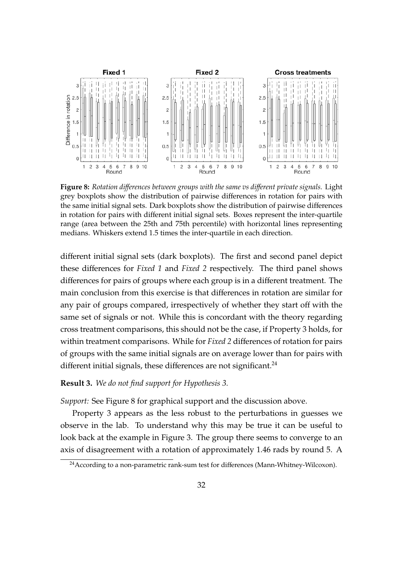<span id="page-31-0"></span>

**Figure 8:** *Rotation di*ff*erences between groups with the same vs di*ff*erent private signals.* Light grey boxplots show the distribution of pairwise differences in rotation for pairs with the same initial signal sets. Dark boxplots show the distribution of pairwise differences in rotation for pairs with different initial signal sets. Boxes represent the inter-quartile range (area between the 25th and 75th percentile) with horizontal lines representing medians. Whiskers extend 1.5 times the inter-quartile in each direction.

different initial signal sets (dark boxplots). The first and second panel depict these differences for *Fixed 1* and *Fixed 2* respectively. The third panel shows differences for pairs of groups where each group is in a different treatment. The main conclusion from this exercise is that differences in rotation are similar for any pair of groups compared, irrespectively of whether they start off with the same set of signals or not. While this is concordant with the theory regarding cross treatment comparisons, this should not be the case, if Property 3 holds, for within treatment comparisons. While for *Fixed 2* differences of rotation for pairs of groups with the same initial signals are on average lower than for pairs with different initial signals, these differences are not significant. $24$ 

#### **Result 3.** *We do not find support for Hypothesis 3.*

*Support:* See Figure [8](#page-31-0) for graphical support and the discussion above.

Property 3 appears as the less robust to the perturbations in guesses we observe in the lab. To understand why this may be true it can be useful to look back at the example in Figure [3.](#page-21-0) The group there seems to converge to an axis of disagreement with a rotation of approximately 1.46 rads by round 5. A

<sup>&</sup>lt;sup>24</sup> According to a non-parametric rank-sum test for differences (Mann-Whitney-Wilcoxon).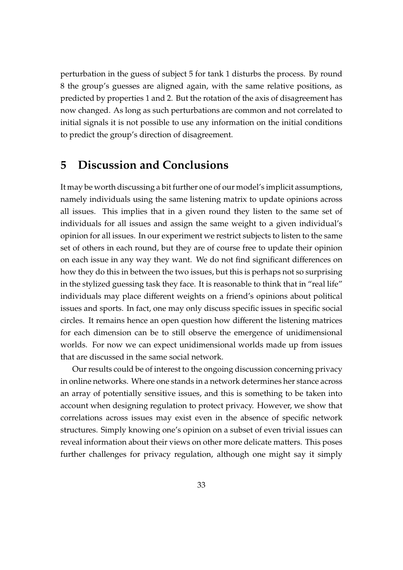perturbation in the guess of subject 5 for tank 1 disturbs the process. By round 8 the group's guesses are aligned again, with the same relative positions, as predicted by properties 1 and 2. But the rotation of the axis of disagreement has now changed. As long as such perturbations are common and not correlated to initial signals it is not possible to use any information on the initial conditions to predict the group's direction of disagreement.

# **5 Discussion and Conclusions**

It may be worth discussing a bit further one of our model's implicit assumptions, namely individuals using the same listening matrix to update opinions across all issues. This implies that in a given round they listen to the same set of individuals for all issues and assign the same weight to a given individual's opinion for all issues. In our experiment we restrict subjects to listen to the same set of others in each round, but they are of course free to update their opinion on each issue in any way they want. We do not find significant differences on how they do this in between the two issues, but this is perhaps not so surprising in the stylized guessing task they face. It is reasonable to think that in "real life" individuals may place different weights on a friend's opinions about political issues and sports. In fact, one may only discuss specific issues in specific social circles. It remains hence an open question how different the listening matrices for each dimension can be to still observe the emergence of unidimensional worlds. For now we can expect unidimensional worlds made up from issues that are discussed in the same social network.

Our results could be of interest to the ongoing discussion concerning privacy in online networks. Where one stands in a network determines her stance across an array of potentially sensitive issues, and this is something to be taken into account when designing regulation to protect privacy. However, we show that correlations across issues may exist even in the absence of specific network structures. Simply knowing one's opinion on a subset of even trivial issues can reveal information about their views on other more delicate matters. This poses further challenges for privacy regulation, although one might say it simply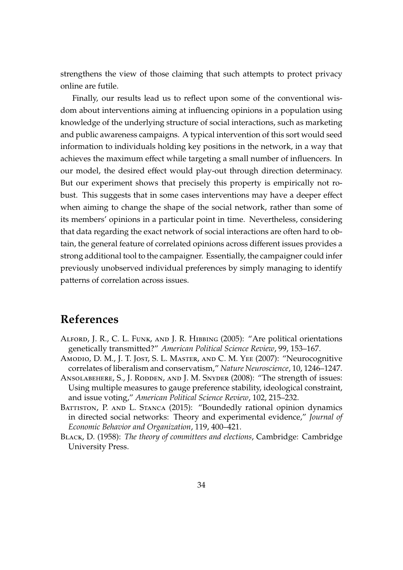strengthens the view of those claiming that such attempts to protect privacy online are futile.

Finally, our results lead us to reflect upon some of the conventional wisdom about interventions aiming at influencing opinions in a population using knowledge of the underlying structure of social interactions, such as marketing and public awareness campaigns. A typical intervention of this sort would seed information to individuals holding key positions in the network, in a way that achieves the maximum effect while targeting a small number of influencers. In our model, the desired effect would play-out through direction determinacy. But our experiment shows that precisely this property is empirically not robust. This suggests that in some cases interventions may have a deeper effect when aiming to change the shape of the social network, rather than some of its members' opinions in a particular point in time. Nevertheless, considering that data regarding the exact network of social interactions are often hard to obtain, the general feature of correlated opinions across different issues provides a strong additional tool to the campaigner. Essentially, the campaigner could infer previously unobserved individual preferences by simply managing to identify patterns of correlation across issues.

# **References**

- <span id="page-33-2"></span>ALFORD, J. R., C. L. FUNK, AND J. R. HIBBING (2005): "Are political orientations genetically transmitted?" *American Political Science Review*, 99, 153–167.
- <span id="page-33-1"></span>Amodio, D. M., J. T. Jost, S. L. Master, and C. M. Yee (2007): "Neurocognitive correlates of liberalism and conservatism," *Nature Neuroscience*, 10, 1246–1247.
- <span id="page-33-0"></span>ANSOLABEHERE, S., J. RODDEN, AND J. M. SNYDER (2008): "The strength of issues: Using multiple measures to gauge preference stability, ideological constraint, and issue voting," *American Political Science Review*, 102, 215–232.
- <span id="page-33-4"></span>BATTISTON, P. AND L. STANCA (2015): "Boundedly rational opinion dynamics in directed social networks: Theory and experimental evidence," *Journal of Economic Behavior and Organization*, 119, 400–421.
- <span id="page-33-3"></span>Black, D. (1958): *The theory of committees and elections*, Cambridge: Cambridge University Press.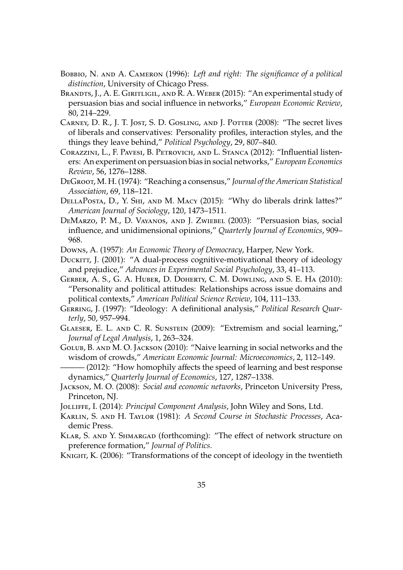- <span id="page-34-1"></span>Bobbio, N. and A. Cameron (1996): *Left and right: The significance of a political distinction*, University of Chicago Press.
- <span id="page-34-14"></span>BRANDTS, J., A. E. GIRITLIGIL, AND R. A. WEBER (2015): "An experimental study of persuasion bias and social influence in networks," *European Economic Review*, 80, 214–229.
- <span id="page-34-2"></span>CARNEY, D. R., J. T. JOST, S. D. GOSLING, AND J. POTTER (2008): "The secret lives of liberals and conservatives: Personality profiles, interaction styles, and the things they leave behind," *Political Psychology*, 29, 807–840.
- <span id="page-34-13"></span>Corazzini, L., F. Pavesi, B. Petrovich, and L. Stanca (2012): "Influential listeners: An experiment on persuasion bias in social networks," *European Economics Review*, 56, 1276–1288.
- <span id="page-34-5"></span>DeGroot, M. H. (1974): "Reaching a consensus," *Journal of the American Statistical Association*, 69, 118–121.
- <span id="page-34-0"></span>DellaPosta, D., Y. Shi, and M. Macy (2015): "Why do liberals drink lattes?" *American Journal of Sociology*, 120, 1473–1511.
- <span id="page-34-9"></span>DeMarzo, P. M., D. Vayanos, and J. Zwiebel (2003): "Persuasion bias, social influence, and unidimensional opinions," *Quarterly Journal of Economics*, 909– 968.

<span id="page-34-6"></span>Downs, A. (1957): *An Economic Theory of Democracy*, Harper, New York.

- <span id="page-34-4"></span>DUCKITT, J. (2001): "A dual-process cognitive-motivational theory of ideology and prejudice," *Advances in Experimental Social Psychology*, 33, 41–113.
- <span id="page-34-3"></span>Gerber, A. S., G. A. Huber, D. Doherty, C. M. Dowling, and S. E. Ha (2010): "Personality and political attitudes: Relationships across issue domains and political contexts," *American Political Science Review*, 104, 111–133.
- <span id="page-34-7"></span>Gerring, J. (1997): "Ideology: A definitional analysis," *Political Research Quarterly*, 50, 957–994.
- <span id="page-34-15"></span>Glaeser, E. L. and C. R. Sunstein (2009): "Extremism and social learning," *Journal of Legal Analysis*, 1, 263–324.
- <span id="page-34-10"></span>Golub, B. and M. O. Jackson (2010): "Naive learning in social networks and the wisdom of crowds," *American Economic Journal: Microeconomics*, 2, 112–149.
- <span id="page-34-11"></span>– (2012): "How homophily affects the speed of learning and best response dynamics," *Quarterly Journal of Economics*, 127, 1287–1338.
- <span id="page-34-12"></span>Jackson, M. O. (2008): *Social and economic networks*, Princeton University Press, Princeton, NJ.
- <span id="page-34-18"></span><span id="page-34-17"></span>Jolliffe, I. (2014): *Principal Component Analysis*, John Wiley and Sons, Ltd.
- Karlin, S. and H. Taylor (1981): *A Second Course in Stochastic Processes*, Academic Press.
- <span id="page-34-16"></span>Klar, S. and Y. Shmargad (forthcoming): "The effect of network structure on preference formation," *Journal of Politics*.
- <span id="page-34-8"></span>KNIGHT, K. (2006): "Transformations of the concept of ideology in the twentieth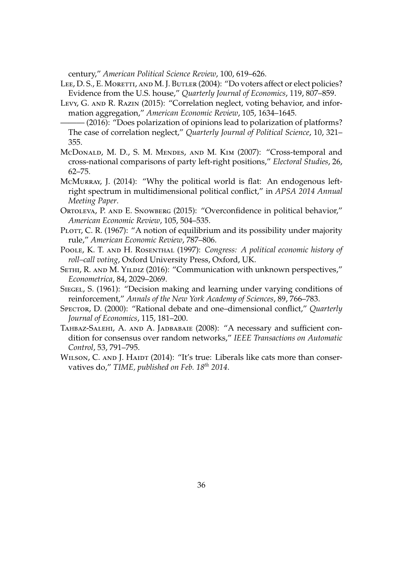century," *American Political Science Review*, 100, 619–626.

<span id="page-35-1"></span>LEE, D. S., E. MORETTI, AND M. J. BUTLER (2004): "Do voters affect or elect policies? Evidence from the U.S. house," *Quarterly Journal of Economics*, 119, 807–859.

<span id="page-35-8"></span>Levy, G. AND R. RAZIN (2015): "Correlation neglect, voting behavior, and information aggregation," *American Economic Review*, 105, 1634–1645.

<span id="page-35-9"></span>——— (2016): "Does polarization of opinions lead to polarization of platforms? The case of correlation neglect," *Quarterly Journal of Political Science*, 10, 321– 355.

- <span id="page-35-3"></span>McDonald, M. D., S. M. Mendes, and M. Kim (2007): "Cross-temporal and cross-national comparisons of party left-right positions," *Electoral Studies*, 26, 62–75.
- <span id="page-35-6"></span>McMurray, J. (2014): "Why the political world is flat: An endogenous leftright spectrum in multidimensional political conflict," in *APSA 2014 Annual Meeting Paper*.
- <span id="page-35-7"></span>Ortoleva, P. and E. Snowberg (2015): "Overconfidence in political behavior," *American Economic Review*, 105, 504–535.
- <span id="page-35-4"></span>PLOTT, C. R. (1967): "A notion of equilibrium and its possibility under majority rule," *American Economic Review*, 787–806.
- <span id="page-35-0"></span>Poole, K. T. and H. Rosenthal (1997): *Congress: A political economic history of roll–call voting*, Oxford University Press, Oxford, UK.
- <span id="page-35-11"></span>SETHI, R. AND M. YILDIZ (2016): "Communication with unknown perspectives," *Econometrica*, 84, 2029–2069.
- <span id="page-35-12"></span>SIEGEL, S. (1961): "Decision making and learning under varying conditions of reinforcement," *Annals of the New York Academy of Sciences*, 89, 766–783.
- <span id="page-35-10"></span>Spector, D. (2000): "Rational debate and one–dimensional conflict," *Quarterly Journal of Economics*, 115, 181–200.
- <span id="page-35-5"></span>TAHBAZ-SALEHI, A. AND A. JADBABAIE (2008): "A necessary and sufficient condition for consensus over random networks," *IEEE Transactions on Automatic Control*, 53, 791–795.
- <span id="page-35-2"></span>WILSON, C. AND J. HAIDT (2014): "It's true: Liberals like cats more than conservatives do," *TIME, published on Feb. 18th 2014*.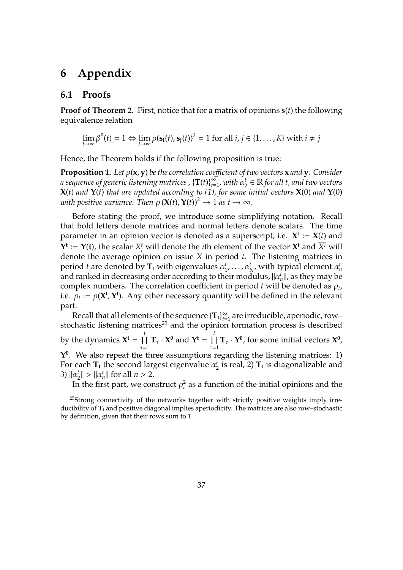# **6 Appendix**

### **6.1 Proofs**

**Proof of Theorem [2.](#page-12-0)** First, notice that for a matrix of opinions **s**(*t*) the following equivalence relation

$$
\lim_{t\to\infty}\beta^P(t)=1 \Leftrightarrow \lim_{t\to\infty}\rho(\mathbf{s_i}(t),\mathbf{s_j}(t))^2=1 \text{ for all } i,j\in\{1,\ldots,K\} \text{ with } i\neq j
$$

Hence, the Theorem holds if the following proposition is true:

**Proposition 1.** Let  $\rho$ (**x**, **y**) *be the correlation coefficient of two vectors* **x** *and* **y***.* Consider *a sequence of generic listening matrices ,* {**T**(*t*)} ∞  $\sum_{t=1}^{\infty}$  with  $\alpha_2^t$ 2 ∈ R *for all t, and two vectors* **X**(*t*) *and* **Y**(*t*) *that are updated according to (1), for some initial vectors* **X**(0) *and* **Y**(0) *with positive variance. Then*  $\rho(\mathbf{X}(t), \mathbf{Y}(t))^2 \to 1$  *as*  $t \to \infty$ *.* 

Before stating the proof, we introduce some simplifying notation. Recall that bold letters denote matrices and normal letters denote scalars. The time parameter in an opinion vector is denoted as a superscript, i.e.  $X^t := X(t)$  and  $Y^t := Y(t)$ , the scalar  $X_i^t$  will denote the *i*th element of the vector  $X^t$  and  $X^t$  will denote the average opinion on issue *X* in period *t*. The listening matrices in period *t* are denoted by  $\mathbf{T_t}$  with eigenvalues  $\alpha_1^t$  $\alpha_1^t$ , ...,  $\alpha_N^t$ , with typical element  $\alpha_n^t$ and ranked in decreasing order according to their modulus,  $\|\alpha_n^t\|$ , as they may be complex numbers. The correlation coefficient in period  $t$  will be denoted as  $\rho_t$ , i.e.  $\rho_t := \rho(\mathbf{X}^t, \mathbf{Y}^t)$ . Any other necessary quantity will be defined in the relevant part.

Recall that all elements of the sequence {**Tt**} ∞  $\sum_{t=1}^{\infty}$  are irreducible, aperiodic, row– stochastic listening matrices<sup>25</sup> and the opinion formation process is described by the dynamics  $X^t = \prod^t$  $\tau=1$ **T**<sub>τ</sub> · **X**<sup>0</sup> and **Y**<sup>t</sup> =  $\prod$ <sup>t</sup>  $\tau=1$ **T**<sub>τ</sub> · **Y**<sup>0</sup>, for some initial vectors **X**<sup>0</sup>, **Y 0** . We also repeat the three assumptions regarding the listening matrices: 1) For each **T<sup>t</sup>** the second largest eigenvalue α *t*  $\frac{1}{2}$  is real, 2)  $\mathbf{T_t}$  is diagonalizable and 3)  $||\alpha_2^t$  $\|a_n^t\| > \|a_n^t\|$  for all  $n > 2$ .

In the first part, we construct  $\rho_t^2$  as a function of the initial opinions and the

<sup>&</sup>lt;sup>25</sup>Strong connectivity of the networks together with strictly positive weights imply irreducibility of **T<sup>t</sup>** and positive diagonal implies aperiodicity. The matrices are also row–stochastic by definition, given that their rows sum to 1.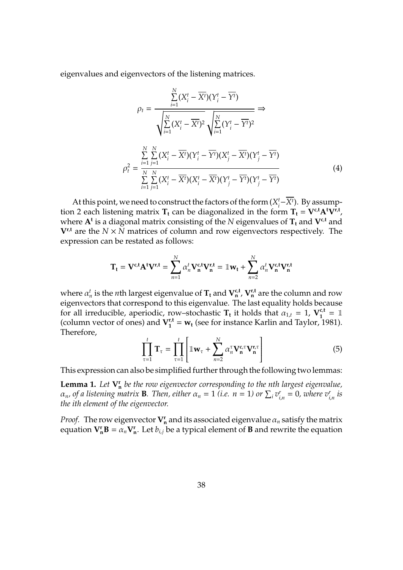eigenvalues and eigenvectors of the listening matrices.

$$
\rho_{t} = \frac{\sum_{i=1}^{N} (X_{i}^{t} - \overline{X^{t}})(Y_{i}^{t} - \overline{Y^{t}})}{\sqrt{\sum_{i=1}^{N} (X_{i}^{t} - \overline{X^{t}})^{2}} \sqrt{\sum_{i=1}^{N} (Y_{i}^{t} - \overline{Y^{t}})^{2}}} \Rightarrow
$$

$$
\rho_{t}^{2} = \frac{\sum_{i=1}^{N} \sum_{j=1}^{N} (X_{i}^{t} - \overline{X^{t}})(Y_{i}^{t} - \overline{Y^{t}})(X_{j}^{t} - \overline{X^{t}})(Y_{j}^{t} - \overline{Y^{t}})}{\sum_{i=1}^{N} \sum_{j=1}^{N} (X_{i}^{t} - \overline{X^{t}})(X_{i}^{t} - \overline{X^{t}})(Y_{j}^{t} - \overline{Y^{t}})(Y_{j}^{t} - \overline{Y^{t}})}
$$
(4)

<span id="page-37-1"></span>At this point, we need to construct the factors of the form (*X t*  $\frac{t}{i} - \overline{X^t}$ ). By assumption 2 each listening matrix  $T_t$  can be diagonalized in the form  $T_t = V^{c,t} A^t V^{r,t}$ , where  $\mathbf{A}^{\text{t}}$  is a diagonal matrix consisting of the  $N$  eigenvalues of  $\mathbf{T}_{\text{t}}$  and  $\mathbf{V}^{\text{c,t}}$  and  $V^{\rm r,t}$  are the  $N \times N$  matrices of column and row eigenvectors respectively. The expression can be restated as follows:

$$
\mathbf{T_t} = \mathbf{V}^{c,t} \mathbf{A}^t \mathbf{V}^{r,t} = \sum_{n=1}^N \alpha_n^t \mathbf{V}_n^{c,t} \mathbf{V}_n^{r,t} = \mathbb{1} \mathbf{w_t} + \sum_{n=2}^N \alpha_n^t \mathbf{V}_n^{c,t} \mathbf{V}_n^{r,t}
$$

where  $\alpha_n^t$  is the *n*th largest eigenvalue of  $\mathbf{T_t}$  and  $\mathbf{V_n^{c,t}}$ ,  $\mathbf{V_n^{r,t}}$  are the column and row eigenvectors that correspond to this eigenvalue. The last equality holds because for all irreducible, aperiodic, row–stochastic  $T_t$  it holds that  $\alpha_{1,t} = 1$ ,  $V_1^{c,t} = 1$ (column vector of ones) and  $V_1^{t,t} = w_t$  (see for instance [Karlin and Taylor,](#page-34-18) [1981\)](#page-34-18). Therefore,

$$
\prod_{\tau=1}^{t} \mathbf{T}_{\tau} = \prod_{\tau=1}^{t} \left[ \mathbb{1} \mathbf{w}_{\tau} + \sum_{n=2}^{N} \alpha_{n}^{\tau} \mathbf{V}_{n}^{\mathbf{c},\tau} \mathbf{V}_{n}^{\mathbf{r},\tau} \right]
$$
(5)

This expression can also be simplified further through the following two lemmas:

<span id="page-37-0"></span>**Lemma 1.** Let  $V_n^r$  be the row eigenvector corresponding to the nth largest eigenvalue,  $\alpha_n$ , of a listening matrix **B**. Then, either  $\alpha_n = 1$  (i.e.  $n = 1$ ) or  $\sum_i v_i^r$  $v_{i,n}^r = 0$ , where  $v_{i,n}^r$  is *the ith element of the eigenvector.*

*Proof.* The row eigenvector  $\mathbf{V}_n^{\mathbf{r}}$  and its associated eigenvalue  $\alpha_n$  satisfy the matrix equation  $V_n^r B = a_n V_n^r$ . Let  $b_{i,j}$  be a typical element of **B** and rewrite the equation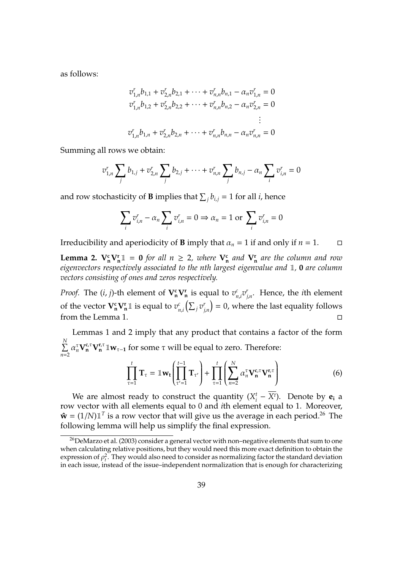as follows:

$$
v_{1,n}^r b_{1,1} + v_{2,n}^r b_{2,1} + \dots + v_{n,n}^r b_{n,1} - \alpha_n v_{1,n}^r = 0
$$
  
\n
$$
v_{1,n}^r b_{1,2} + v_{2,n}^r b_{2,2} + \dots + v_{n,n}^r b_{n,2} - \alpha_n v_{2,n}^r = 0
$$
  
\n
$$
\vdots
$$
  
\n
$$
v_{1,n}^r b_{1,n} + v_{2,n}^r b_{2,n} + \dots + v_{n,n}^r b_{n,n} - \alpha_n v_{n,n}^r = 0
$$

Summing all rows we obtain:

$$
v_{1,n}^r \sum_j b_{1,j} + v_{2,n}^r \sum_j b_{2,j} + \cdots + v_{n,n}^r \sum_j b_{n,j} - \alpha_n \sum_i v_{i,n}^r = 0
$$

and row stochasticity of **B** implies that  $\sum_{j} b_{i,j} = 1$  for all *i*, hence

$$
\sum_{i} v_{i,n}^{r} - \alpha_n \sum_{i} v_{i,n}^{r} = 0 \Rightarrow \alpha_n = 1 \text{ or } \sum_{i} v_{i,n}^{r} = 0
$$

Irreducibility and aperiodicity of **B** imply that  $\alpha_n = 1$  if and only if  $n = 1$ .  $\Box$ 

**Lemma 2.**  $V_n^c V_n^r \mathbb{1} = 0$  *for all n*  $\geq$  2*, where*  $V_n^c$  *and*  $V_n^r$  *are the column and row eigenvectors respectively associated to the nth largest eigenvalue and* 1*,* **0** *are column vectors consisting of ones and zeros respectively.*

*Proof.* The  $(i, j)$ -th element of  $V_n^c V_n^r$  is equal to  $v_r^c$  $\int_{n,i}^{c} v_j^r$ *j*,*n* . Hence, the *i*th element of the vector  $\mathbf{V}_{\mathbf{n}}^{\mathbf{c}} \mathbf{V}_{\mathbf{n}}^{\mathbf{r}} \mathbf{\perp}$  is equal to  $v_r^c$  $_{n,i}^c\left(\sum_j v_j^r\right)$  $\binom{r}{j,n} = 0$ , where the last equality follows from the Lemma [1.](#page-37-0)

Lemmas 1 and 2 imply that any product that contains a factor of the form P *N n*=2  $\alpha_n^{\tau}$ **V**<sub>*n*</sub><sup>π</sup>,<sup>π</sup> 1**w**<sub>τ−1</sub> for some τ will be equal to zero. Therefore:

$$
\prod_{\tau=1}^t \mathbf{T}_{\tau} = \mathbb{1} \mathbf{w}_t \left( \prod_{\tau'=1}^{t-1} \mathbf{T}_{\tau'} \right) + \prod_{\tau=1}^t \left( \sum_{n=2}^N \alpha_n^{\tau} \mathbf{V}_{\mathbf{n}}^{c,\tau} \mathbf{V}_{\mathbf{n}}^{r,\tau} \right)
$$
(6)

We are almost ready to construct the quantity  $(X_i^t)$  $\frac{t}{i} - \overline{X^t}$ ). Denote by **e**<sub>i</sub> a row vector with all elements equal to 0 and *i*th element equal to 1. Moreover,  $\hat{\mathbf{w}} = (1/N) \mathbb{1}^T$  is a row vector that will give us the average in each period.<sup>26</sup> The following lemma will help us simplify the final expression.

<sup>&</sup>lt;sup>26</sup>[DeMarzo et al.](#page-34-9) [\(2003\)](#page-34-9) consider a general vector with non-negative elements that sum to one when calculating relative positions, but they would need this more exact definition to obtain the expression of  $\rho_t^2$ . They would also need to consider as normalizing factor the standard deviation in each issue, instead of the issue–independent normalization that is enough for characterizing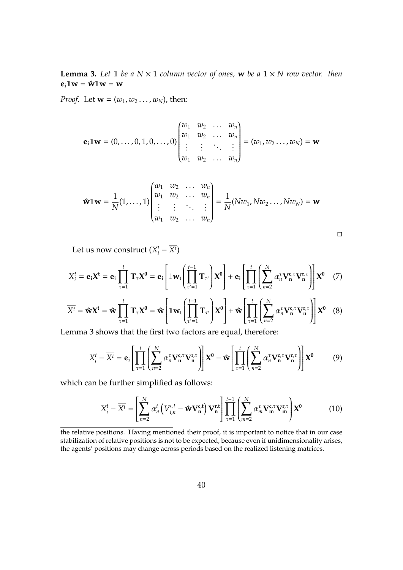<span id="page-39-0"></span>**Lemma 3.** Let  $\mathbb{1}$  be a  $N \times 1$  column vector of ones, **w** be a  $1 \times N$  row vector. then  $e_i \mathbb{I} w = \hat{w} \mathbb{I} w = w$ 

*Proof.* Let  $\mathbf{w} = (w_1, w_2 \dots, w_N)$ , then:

$$
\mathbf{e}_{i} \mathbb{1} \mathbf{w} = (0, ..., 0, 1, 0, ..., 0) \begin{pmatrix} w_{1} & w_{2} & \dots & w_{n} \\ w_{1} & w_{2} & \dots & w_{n} \\ \vdots & \vdots & \ddots & \vdots \\ w_{1} & w_{2} & \dots & w_{n} \end{pmatrix} = (w_{1}, w_{2}, ..., w_{N}) = \mathbf{w}
$$

$$
\hat{\mathbf{w}} \mathbb{1} \mathbf{w} = \frac{1}{N} (1, \dots, 1) \begin{pmatrix} w_1 & w_2 & \dots & w_n \\ w_1 & w_2 & \dots & w_n \\ \vdots & \vdots & \ddots & \vdots \\ w_1 & w_2 & \dots & w_n \end{pmatrix} = \frac{1}{N} (N w_1, N w_2 \dots, N w_N) = \mathbf{w}
$$

$$
\Box
$$

Let us now construct  $(X_i^t)$  $i^t$  –  $\overline{X^t}$ )

$$
X_i^t = \mathbf{e}_i \mathbf{X}^t = \mathbf{e}_i \prod_{\tau=1}^t \mathbf{T}_{\tau} \mathbf{X}^0 = \mathbf{e}_i \left[ \mathbb{I} \mathbf{w}_t \left( \prod_{\tau'=1}^{t-1} \mathbf{T}_{\tau'} \right) \mathbf{X}^0 \right] + \mathbf{e}_i \left[ \prod_{\tau=1}^t \left( \sum_{n=2}^N \alpha_n^{\tau} \mathbf{V}_{\mathbf{n}}^{c,\tau} \mathbf{V}_{\mathbf{n}}^{r,\tau} \right) \right] \mathbf{X}^0 \quad (7)
$$

$$
\overline{X^t} = \hat{\mathbf{w}} \mathbf{X}^t = \hat{\mathbf{w}} \prod_{\tau=1}^t \mathbf{T}_{\tau} \mathbf{X}^0 = \hat{\mathbf{w}} \left[ \mathbb{1} \mathbf{w}_t \left( \prod_{\tau'=1}^{t-1} \mathbf{T}_{\tau'} \right) \mathbf{X}^0 \right] + \hat{\mathbf{w}} \left[ \prod_{\tau=1}^t \left( \sum_{n=2}^N \alpha_n^{\tau} \mathbf{V}_{\mathbf{n}}^{c,\tau} \mathbf{V}_{\mathbf{n}}^{r,\tau} \right) \right] \mathbf{X}^0 \quad (8)
$$

Lemma [3](#page-39-0) shows that the first two factors are equal, therefore:

$$
X_i^t - \overline{X^t} = \mathbf{e_i} \left[ \prod_{\tau=1}^t \left( \sum_{n=2}^N \alpha_n^{\tau} \mathbf{V}_n^{\mathbf{c}, \tau} \mathbf{V}_n^{\mathbf{r}, \tau} \right) \right] \mathbf{X}^0 - \hat{\mathbf{w}} \left[ \prod_{\tau=1}^t \left( \sum_{n=2}^N \alpha_n^{\tau} \mathbf{V}_n^{\mathbf{c}, \tau} \mathbf{V}_n^{\mathbf{r}, \tau} \right) \right] \mathbf{X}^0 \tag{9}
$$

which can be further simplified as follows:

$$
X_i^t - \overline{X^t} = \left[ \sum_{n=2}^N \alpha_n^t \left( V_{i,n}^{c,t} - \hat{\mathbf{w}} \mathbf{V}_n^{c,t} \right) \mathbf{V}_n^{r,t} \right] \prod_{\tau=1}^{t-1} \left( \sum_{m=2}^N \alpha_m^{\tau} \mathbf{V}_m^{c,\tau} \mathbf{V}_m^{r,\tau} \right) \mathbf{X}^0
$$
(10)

the relative positions. Having mentioned their proof, it is important to notice that in our case stabilization of relative positions is not to be expected, because even if unidimensionality arises, the agents' positions may change across periods based on the realized listening matrices.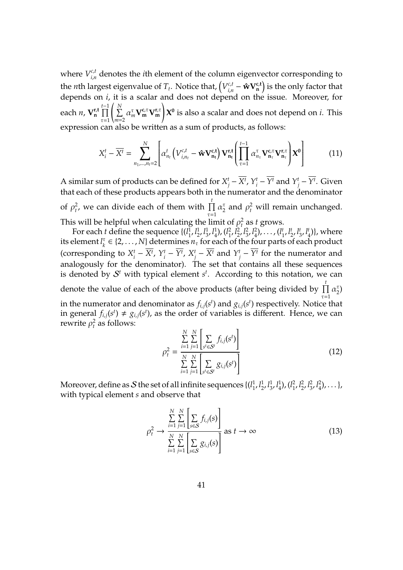where  $V_{i,n}^{c,t}$  $\mathbf{r}_{i,n}^{c,t}$  denotes the *i*th element of the column eigenvector corresponding to the *n*th largest eigenvalue of  $T_t$ . Notice that,  $\left(V_{i,n}^{c,t}\right)$  $\hat{\mathbf{w}}_{i,n}^{c,t}$  −  $\hat{\mathbf{w}} \mathbf{V}_{\mathbf{n}}^{c,t}$  is the only factor that depends on *i*, it is a scalar and does not depend on the issue. Moreover, for each *n*, **V r**,**t n** *t*<sup>-1</sup><br><del></del>  $\tau=1$  $\sqrt{2}$ P *N m*=2  $\alpha_m^{\tau} \mathbf{V}_{\mathbf{m}}^{\mathbf{c},\tau} \mathbf{V}_{\mathbf{m}}^{\mathbf{r},\tau}$ ! **X 0** is also a scalar and does not depend on *i*. This expression can also be written as a sum of products, as follows:

<span id="page-40-0"></span>
$$
X_i^t - \overline{X^t} = \sum_{n_1, \dots, n_t=2}^N \left[ \alpha_{n_t}^t \left( V_{i, n_t}^{c, t} - \hat{\mathbf{w}} \mathbf{V}_{n_t}^{c, t} \right) \mathbf{V}_{n_t}^{r, t} \left( \prod_{\tau=1}^{t-1} \alpha_{n_\tau}^{\tau} \mathbf{V}_{n_\tau}^{c, \tau} \mathbf{V}_{n_\tau}^{r, \tau} \right) \mathbf{X^0} \right]
$$
(11)

A similar sum of products can be defined for *X t*  $j^t$  –  $\overline{X^t}$ ,  $Y^t_i$  $Y_i^t$  –  $\overline{Y^t}$  and  $Y_j^t$  $j^t$  −  $\overline{Y^t}$ . Given that each of these products appears both in the numerator and the denominator of  $\rho_t^2$ , we can divide each of them with  $\prod_t^t$  $\tau=1$  $\alpha_2^{\tau}$  $\frac{\tau}{2}$  and  $\rho_t^2$  will remain unchanged. This will be helpful when calculating the limit of  $\rho_t^2$  as *t* grows.

For each *t* define the sequence  $\{l_1^{\bar{l}}\}$  $\frac{1}{1}$ ,  $l_2^1$  $\frac{1}{2}, l_3^1$  $\frac{1}{3}$ ,  $l_4^1$  $\binom{1}{4}$ ,  $\binom{l_1^2}{l_2}$  $\frac{2}{1}$ ,  $l_2^2$  $\frac{2}{2}$ ,  $l_3^2$  $\frac{2}{3}$ ,  $l_4^2$  $\binom{2}{4}$ , ...,  $\binom{l^t_1}{l^t_2}$  $\frac{1}{1}$ ,  $l_2^t$  $\frac{1}{2}$ ,  $l_3^t$  $\frac{1}{3}$ ,  $l_4^t$  $\binom{t}{4}$ , where its element *l* τ  $h_k^{\tau} \in \{2, \ldots, N\}$  determines  $n_{\tau}$  for each of the four parts of each product (corresponding to *X t*  $\frac{t}{i} - \overline{X^t}$ ,  $Y_i^t$  $\overline{Y}_i^t - \overline{Y}^t$ ,  $X_j^t$  $\frac{t}{j}$  −  $\overline{X^t}$  and  $Y^t$  $J_j^t$  –  $\overline{Y^t}$  for the numerator and analogously for the denominator). The set that contains all these sequences is denoted by  $S<sup>t</sup>$  with typical element  $s<sup>t</sup>$ . According to this notation, we can denote the value of each of the above products (after being divided by  $\prod_{i=1}^{t}$  $\tau=1$  $\alpha_2^{\tau}$  $\binom{1}{2}$ in the numerator and denominator as  $f_{i,j}(s^t)$  and  $g_{i,j}(s^t)$  respectively. Notice that in general  $f_{i,j}(s^t) \neq g_{i,j}(s^t)$ , as the order of variables is different. Hence, we can rewrite  $\rho_t^2$  as follows:

$$
\rho_t^2 = \frac{\sum_{i=1}^{N} \sum_{j=1}^{N} \left[ \sum_{s^t \in S^t} f_{i,j}(s^t) \right]}{\sum_{i=1}^{N} \sum_{j=1}^{N} \left[ \sum_{s^t \in S^t} g_{i,j}(s^t) \right]}
$$
(12)

Moreover, define as  $\mathcal S$  the set of all infinite sequences  $\{(\mathcal l_1^1,\ldots,\mathcal l_N^1)\}$  $\frac{1}{1}$ ,  $l_2^1$  $\frac{1}{2}$ ,  $l_3^1$  $\frac{1}{3}$ ,  $l_4^1$  $\binom{1}{4}$ ,  $\binom{l_1^2}{l_2}$  $\frac{2}{1}$ ,  $l_2^2$  $\frac{2}{2}$ ,  $l_3^2$  $\frac{2}{3}$ ,  $l_4^2$  $\binom{2}{4}$ , ... }, with typical element *s* and observe that

$$
\rho_t^2 \to \frac{\sum_{i=1}^N \sum_{j=1}^N \left[ \sum_{s \in \mathcal{S}} f_{i,j}(s) \right]}{\sum_{i=1}^N \sum_{j=1}^N \left[ \sum_{s \in \mathcal{S}} g_{i,j}(s) \right]} \text{ as } t \to \infty
$$
\n(13)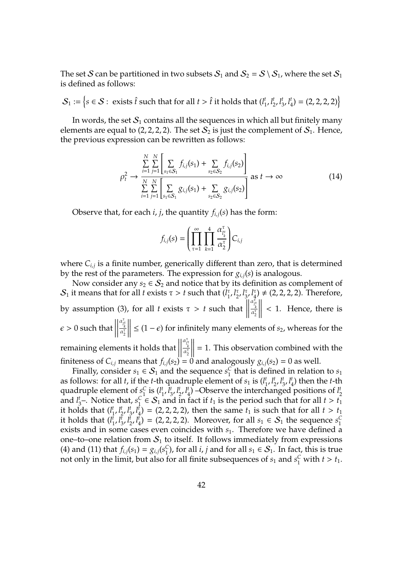The set S can be partitioned in two subsets  $S_1$  and  $S_2 = S \setminus S_1$ , where the set  $S_1$ is defined as follows:

 $\mathcal{S}_1 := \bigl\{ \! s \in \mathcal{S} : \text{ exists } \hat{t} \text{ such that for all } t > \hat{t} \text{ it holds that } (l_1^t) \! \bigr\}$  $\frac{1}{1}$ ,  $l_2^t$  $\frac{1}{2}$ ,  $l_3^t$  $\frac{1}{3}$ ,  $l_4^t$  $\binom{t}{4} = (2, 2, 2, 2)$ 

In words, the set  $S_1$  contains all the sequences in which all but finitely many elements are equal to (2, 2, 2, 2). The set  $S_2$  is just the complement of  $S_1$ . Hence, the previous expression can be rewritten as follows:

$$
\rho_t^2 \to \frac{\sum_{i=1}^N \sum_{j=1}^N \left[ \sum_{s_1 \in S_1} f_{i,j}(s_1) + \sum_{s_2 \in S_2} f_{i,j}(s_2) \right]}{\sum_{i=1}^N \sum_{j=1}^N \left[ \sum_{s_1 \in S_1} g_{i,j}(s_1) + \sum_{s_2 \in S_2} g_{i,j}(s_2) \right]} \text{ as } t \to \infty
$$
\n(14)

Observe that, for each *i*, *j*, the quantity  $f_{i,j}(s)$  has the form:

$$
f_{i,j}(s) = \left(\prod_{\tau=1}^{\infty} \prod_{k=1}^{4} \frac{\alpha_{I_{k}^{\tau}}^{\tau}}{\alpha_{2}^{\tau}}\right) C_{i,j}
$$

where *Ci*,*<sup>j</sup>* is a finite number, generically different than zero, that is determined by the rest of the parameters. The expression for  $g_{i,j}(s)$  is analogous.

Now consider any  $s_2 \in S_2$  and notice that by its definition as complement of  $\mathcal{S}_1$  it means that for all *t* exists  $\tau > t$  such that  $\left(\frac{1}{1}\right)$ 1 , *l* τ  $\frac{7}{2}$ ,  $l_3^{\tau}$ 3 , *l* τ  $\binom{1}{4} \neq (2, 2, 2, 2)$ . Therefore, by assumption (3), for all *t* exists τ > *t* such that  $\begin{array}{c} \begin{array}{c} \begin{array}{c} \end{array} \\ \begin{array}{c} \end{array} \end{array} \end{array}$  $\begin{array}{c} \begin{array}{c} \begin{array}{c} \end{array} \\ \begin{array}{c} \end{array} \end{array} \end{array}$  $\frac{\alpha_{l_k^{\tau}}^{\bar{\tau}}}{\alpha_2^{\tau}}$  $\begin{array}{c} \begin{array}{c} \begin{array}{c} \end{array} \\ \begin{array}{c} \end{array} \end{array} \end{array}$  $\begin{array}{c} \begin{array}{c} \begin{array}{c} \end{array} \\ \begin{array}{c} \end{array} \end{array} \end{array}$ < 1. Hence, there is  $\epsilon$  > 0 such that  $\begin{array}{c} \hline \rule{0pt}{2.2ex} \\ \rule{0pt}{2.2ex} \end{array}$  $\begin{array}{c} \hline \end{array}$  $\frac{\alpha^{\tau}_{l^{\tau}_{k}}}{\alpha^{\tau}_{2}}$  $\begin{array}{c} \hline \rule{0pt}{2.2ex} \\ \rule{0pt}{2.2ex} \end{array}$  $\begin{array}{c} \begin{array}{c} \begin{array}{c} \end{array} \\ \begin{array}{c} \end{array} \end{array} \end{array}$  $≤$  (1 −  $ε$ ) for infinitely many elements of  $s$ <sub>2</sub>, whereas for the remaining elements it holds that  $\begin{array}{c} \hline \end{array}$  $\lim_{|x_1|^2}$   $\lim_{|x_2|}$  and analogously  $g_{i,j}(s_2) = 0$  as well.  $\begin{array}{c} \hline \end{array}$  $\frac{\alpha_{l\tau}^{\tau}}{\alpha_2^{\tau}}$  $\begin{array}{c} \hline \end{array}$  $= 1$ . This observation combined with the

Finally, consider  $s_1 \in S_1$  and the sequence  $s_1^C$  $\frac{C}{1}$  that is defined in relation to  $s_1$ as follows: for all *t*, if the *t*-th quadruple element of  $s_1$  is  $(l_1^t)$ 1 , *l t*  $\frac{1}{2}$ ,  $l_3^t$  $\frac{1}{3}$ ,  $l_4^t$  $t_4$ ) then the *t*-th quadruple element of  $s_1^C$  $\frac{C}{1}$  is  $(l_1^t)$  $\frac{1}{1}$ ,  $l_3^t$  $\frac{1}{3}$ ,  $\frac{1}{2}$  $i_{2}^{t}$ ,  $l_{4}^{t}$ 4 ) –Observe the interchanged positions of *l t* 2 and *l t*  $i<sub>3</sub>$ –. Notice that,  $s<sub>1</sub><sup>C</sup>$  $C \in S_1$  and in fact if  $t_1$  is the period such that for all  $t > t_1$ it holds that (*l t* 1 , *l t* 2 , *l t* 3 , *l t*  $\mathbf{A}_{4}^{t}$ ) = (2, 2, 2, 2), then the same  $t_1$  is such that for all  $t > t_1$ it holds that (*l t*  $\frac{t}{1}$ ,  $l_3^t$  $\frac{1}{3}$ ,  $l_2^t$  $\frac{1}{2}$ ,  $l_4^t$  $\mathcal{F}_4^{\overline{t}}$  = (2, 2, 2, 2). Moreover, for all  $s_1 \in S_1$  the sequence  $s_1^C$ 1 exists and in some cases even coincides with  $s<sub>1</sub>$ . Therefore we have defined a one–to–one relation from  $S_1$  to itself. It follows immediately from expressions [\(4\)](#page-37-1) and [\(11\)](#page-40-0) that  $f_{i,j}(s_1) = g_{i,j}(s_1^C)$ <sup>C</sup><sub>1</sub>), for all *i*, *j* and for all  $s_1 \in S_1$ . In fact, this is true not only in the limit, but also for all finite subsequences of  $s_1$  and  $s_1^C$  with  $t > t_1$ .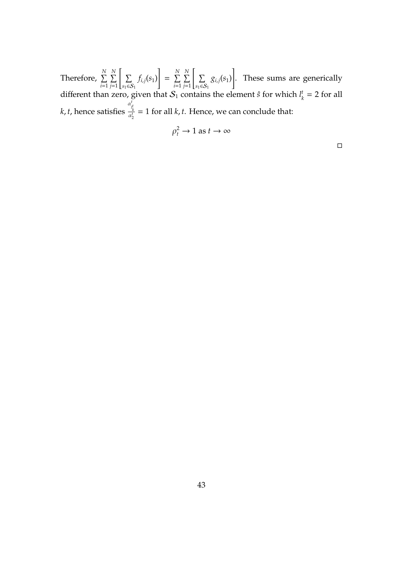Therefore,  $\sum^N$ *i*=1 P *N j*=1 [  $\sum$  $s_1 ∈ S_1$ *fi*,*j*(*s*1) 1  $=$   $\sum^N$ *i*=1 P *N j*=1 [  $\sum$  $s_1 ∈ S_1$  $g_{i,j}(s_1)$ 1 . These sums are generically different than zero, given that  $S_1$  contains the element  $\hat{s}$  for which  $l_k^t$ given that  $\mathcal{S}_1$  contains the element  $\hat{s}$  for which  $l^t_k = 2$  for all *k*, *t*, hence satisfies  $\frac{\alpha_{l_k^t}^t}{\alpha_2^t} = 1$  for all *k*, *t*. Hence, we can conclude that:

$$
\rho_t^2 \to 1 \text{ as } t \to \infty
$$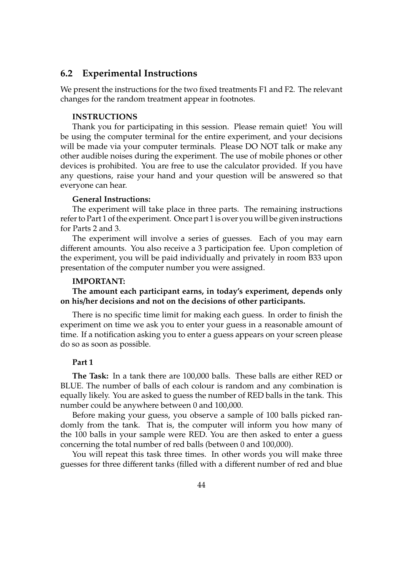### **6.2 Experimental Instructions**

We present the instructions for the two fixed treatments F1 and F2. The relevant changes for the random treatment appear in footnotes.

#### **INSTRUCTIONS**

Thank you for participating in this session. Please remain quiet! You will be using the computer terminal for the entire experiment, and your decisions will be made via your computer terminals. Please DO NOT talk or make any other audible noises during the experiment. The use of mobile phones or other devices is prohibited. You are free to use the calculator provided. If you have any questions, raise your hand and your question will be answered so that everyone can hear.

#### **General Instructions:**

The experiment will take place in three parts. The remaining instructions refer to Part 1 of the experiment. Once part 1 is over you will be given instructions for Parts 2 and 3.

The experiment will involve a series of guesses. Each of you may earn different amounts. You also receive a 3 participation fee. Upon completion of the experiment, you will be paid individually and privately in room B33 upon presentation of the computer number you were assigned.

#### **IMPORTANT:**

**The amount each participant earns, in today's experiment, depends only on his**/**her decisions and not on the decisions of other participants.**

There is no specific time limit for making each guess. In order to finish the experiment on time we ask you to enter your guess in a reasonable amount of time. If a notification asking you to enter a guess appears on your screen please do so as soon as possible.

#### **Part 1**

**The Task:** In a tank there are 100,000 balls. These balls are either RED or BLUE. The number of balls of each colour is random and any combination is equally likely. You are asked to guess the number of RED balls in the tank. This number could be anywhere between 0 and 100,000.

Before making your guess, you observe a sample of 100 balls picked randomly from the tank. That is, the computer will inform you how many of the 100 balls in your sample were RED. You are then asked to enter a guess concerning the total number of red balls (between 0 and 100,000).

You will repeat this task three times. In other words you will make three guesses for three different tanks (filled with a different number of red and blue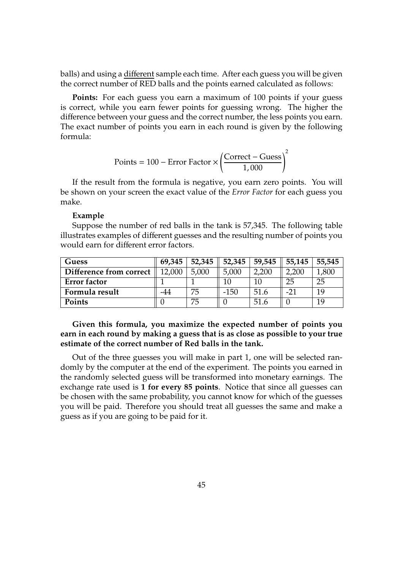balls) and using a different sample each time. After each guess you will be given the correct number of RED balls and the points earned calculated as follows:

**Points:** For each guess you earn a maximum of 100 points if your guess is correct, while you earn fewer points for guessing wrong. The higher the difference between your guess and the correct number, the less points you earn. The exact number of points you earn in each round is given by the following formula:

$$
Points = 100 - Error Factor \times \left(\frac{Correct - Guess}{1,000}\right)^2
$$

If the result from the formula is negative, you earn zero points. You will be shown on your screen the exact value of the *Error Factor* for each guess you make.

#### **Example**

Suppose the number of red balls in the tank is 57,345. The following table illustrates examples of different guesses and the resulting number of points you would earn for different error factors.

| Guess                   | 69,345 | 52,345 | 52,345 | 59,545 | 55,145 | 55,545 |
|-------------------------|--------|--------|--------|--------|--------|--------|
| Difference from correct | 12.000 | 5.000  | 5.000  | 2,200  | 2,200  | ,800   |
| <b>Error</b> factor     |        |        |        | 10     | 25     | 25     |
| Formula result          | -44    | 75     | $-150$ | 51.6   | $-21$  | 10     |
| Points                  |        | 75     |        | 51.6   |        | 1 Q    |

### **Given this formula, you maximize the expected number of points you earn in each round by making a guess that is as close as possible to your true estimate of the correct number of Red balls in the tank.**

Out of the three guesses you will make in part 1, one will be selected randomly by the computer at the end of the experiment. The points you earned in the randomly selected guess will be transformed into monetary earnings. The exchange rate used is **1 for every 85 points**. Notice that since all guesses can be chosen with the same probability, you cannot know for which of the guesses you will be paid. Therefore you should treat all guesses the same and make a guess as if you are going to be paid for it.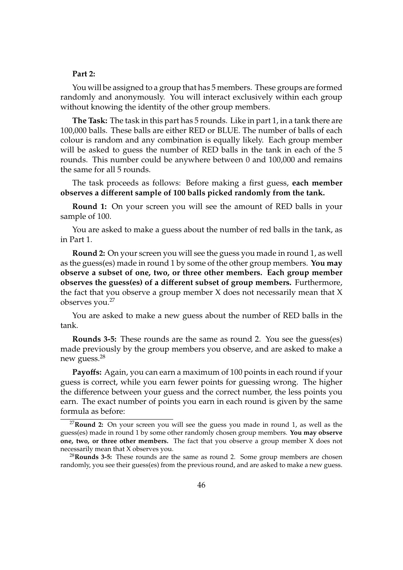#### **Part 2:**

You will be assigned to a group that has 5 members. These groups are formed randomly and anonymously. You will interact exclusively within each group without knowing the identity of the other group members.

**The Task:** The task in this part has 5 rounds. Like in part 1, in a tank there are 100,000 balls. These balls are either RED or BLUE. The number of balls of each colour is random and any combination is equally likely. Each group member will be asked to guess the number of RED balls in the tank in each of the 5 rounds. This number could be anywhere between 0 and 100,000 and remains the same for all 5 rounds.

The task proceeds as follows: Before making a first guess, **each member observes a di**ff**erent sample of 100 balls picked randomly from the tank.**

**Round 1:** On your screen you will see the amount of RED balls in your sample of 100.

You are asked to make a guess about the number of red balls in the tank, as in Part 1.

**Round 2:** On your screen you will see the guess you made in round 1, as well as the guess(es) made in round 1 by some of the other group members. **You may observe a subset of one, two, or three other members. Each group member observes the guess(es) of a di**ff**erent subset of group members.** Furthermore, the fact that you observe a group member X does not necessarily mean that X observes you.<sup>27</sup>

You are asked to make a new guess about the number of RED balls in the tank.

**Rounds 3-5:** These rounds are the same as round 2. You see the guess(es) made previously by the group members you observe, and are asked to make a new guess.<sup>28</sup>

**Payo**ff**s:** Again, you can earn a maximum of 100 points in each round if your guess is correct, while you earn fewer points for guessing wrong. The higher the difference between your guess and the correct number, the less points you earn. The exact number of points you earn in each round is given by the same formula as before:

<sup>27</sup>**Round 2:** On your screen you will see the guess you made in round 1, as well as the guess(es) made in round 1 by some other randomly chosen group members. **You may observe one, two, or three other members.** The fact that you observe a group member X does not necessarily mean that X observes you.

<sup>28</sup>**Rounds 3-5:** These rounds are the same as round 2. Some group members are chosen randomly, you see their guess(es) from the previous round, and are asked to make a new guess.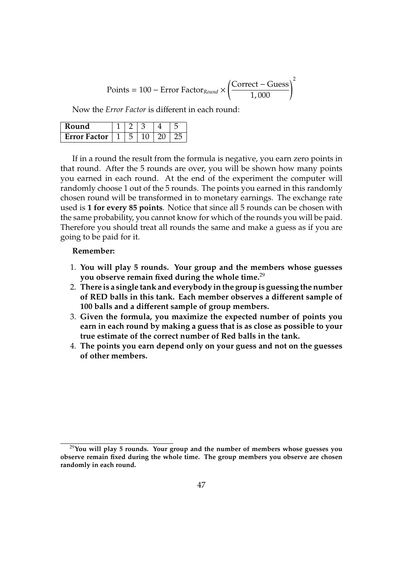$$
Points = 100 - Error Factor_{Round} \times \left(\frac{Correct - Guess}{1,000}\right)^2
$$

Now the *Error Factor* is different in each round:

| Kound               |  |  |  |
|---------------------|--|--|--|
| <b>Error Factor</b> |  |  |  |

If in a round the result from the formula is negative, you earn zero points in that round. After the 5 rounds are over, you will be shown how many points you earned in each round. At the end of the experiment the computer will randomly choose 1 out of the 5 rounds. The points you earned in this randomly chosen round will be transformed in to monetary earnings. The exchange rate used is **1 for every 85 points**. Notice that since all 5 rounds can be chosen with the same probability, you cannot know for which of the rounds you will be paid. Therefore you should treat all rounds the same and make a guess as if you are going to be paid for it.

#### **Remember:**

- 1. **You will play 5 rounds. Your group and the members whose guesses you observe remain fixed during the whole time.**<sup>29</sup>
- 2. **There is a single tank and everybody in the group is guessing the number of RED balls in this tank. Each member observes a di**ff**erent sample of 100 balls and a di**ff**erent sample of group members.**
- 3. **Given the formula, you maximize the expected number of points you earn in each round by making a guess that is as close as possible to your true estimate of the correct number of Red balls in the tank.**
- 4. **The points you earn depend only on your guess and not on the guesses of other members.**

<sup>29</sup>**You will play 5 rounds. Your group and the number of members whose guesses you observe remain fixed during the whole time. The group members you observe are chosen randomly in each round.**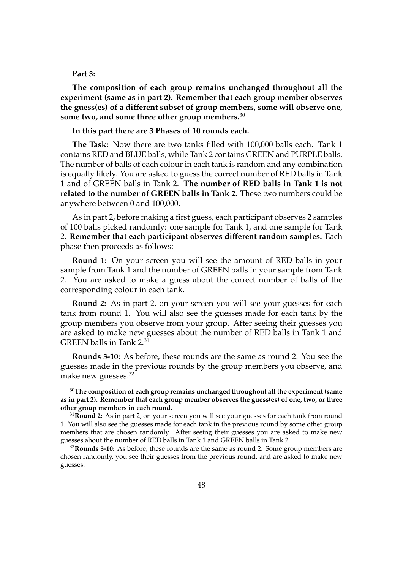#### **Part 3:**

**The composition of each group remains unchanged throughout all the experiment (same as in part 2). Remember that each group member observes the guess(es) of a di**ff**erent subset of group members, some will observe one, some two, and some three other group members.**<sup>30</sup>

#### **In this part there are 3 Phases of 10 rounds each.**

**The Task:** Now there are two tanks filled with 100,000 balls each. Tank 1 contains RED and BLUE balls, while Tank 2 contains GREEN and PURPLE balls. The number of balls of each colour in each tank is random and any combination is equally likely. You are asked to guess the correct number of RED balls in Tank 1 and of GREEN balls in Tank 2. **The number of RED balls in Tank 1 is not related to the number of GREEN balls in Tank 2.** These two numbers could be anywhere between 0 and 100,000.

As in part 2, before making a first guess, each participant observes 2 samples of 100 balls picked randomly: one sample for Tank 1, and one sample for Tank 2. **Remember that each participant observes di**ff**erent random samples.** Each phase then proceeds as follows:

**Round 1:** On your screen you will see the amount of RED balls in your sample from Tank 1 and the number of GREEN balls in your sample from Tank 2. You are asked to make a guess about the correct number of balls of the corresponding colour in each tank.

**Round 2:** As in part 2, on your screen you will see your guesses for each tank from round 1. You will also see the guesses made for each tank by the group members you observe from your group. After seeing their guesses you are asked to make new guesses about the number of RED balls in Tank 1 and GREEN balls in Tank 2.<sup>31</sup>

**Rounds 3-10:** As before, these rounds are the same as round 2. You see the guesses made in the previous rounds by the group members you observe, and make new guesses.<sup>32</sup>

<sup>30</sup>**The composition of each group remains unchanged throughout all the experiment (same as in part 2). Remember that each group member observes the guess(es) of one, two, or three other group members in each round.**

<sup>31</sup>**Round 2:** As in part 2, on your screen you will see your guesses for each tank from round 1. You will also see the guesses made for each tank in the previous round by some other group members that are chosen randomly. After seeing their guesses you are asked to make new guesses about the number of RED balls in Tank 1 and GREEN balls in Tank 2.

<sup>32</sup>**Rounds 3-10:** As before, these rounds are the same as round 2. Some group members are chosen randomly, you see their guesses from the previous round, and are asked to make new guesses.